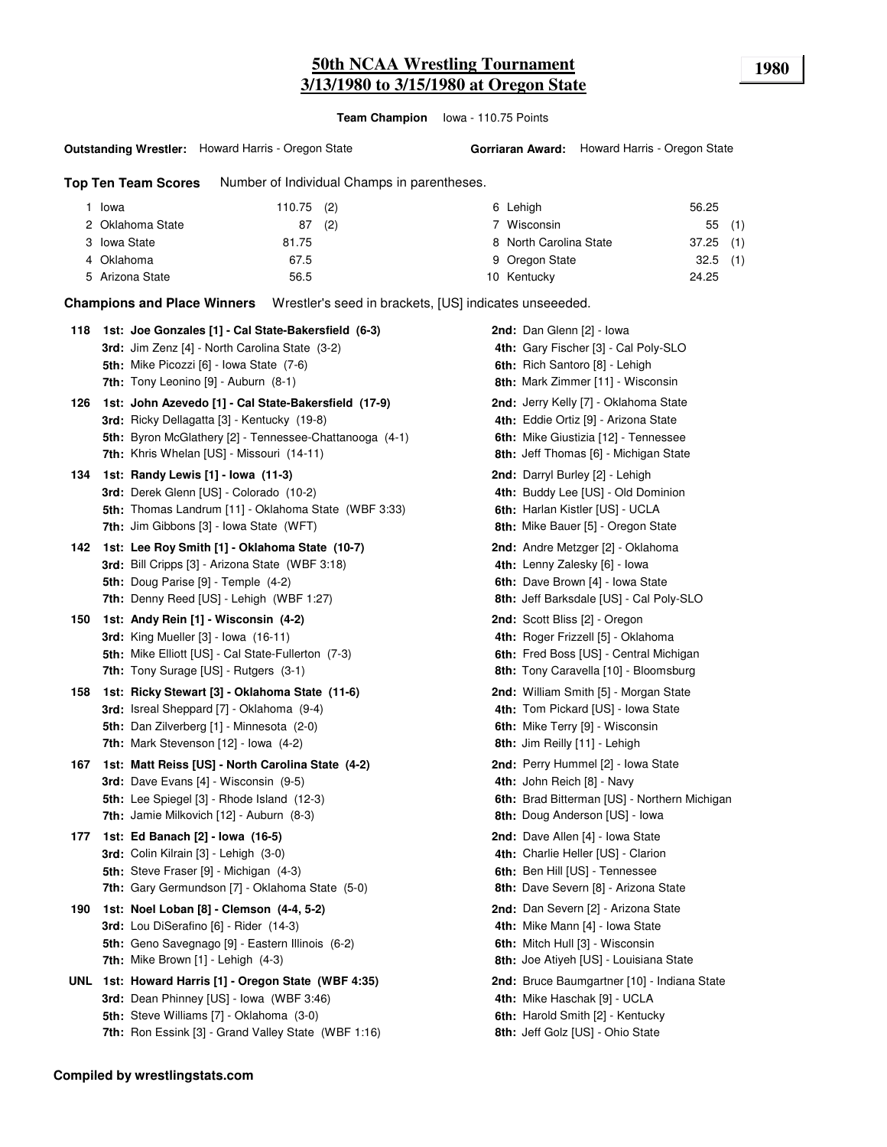**Team Champion** Iowa - 110.75 Points

**Outstanding Wrestler:** Howard Harris - Oregon State

**Gorriaran Award:** Howard Harris - Oregon State

**Top Ten Team Scores** Number of Individual Champs in parentheses.

| Iowa             | $110.75$ (2) | 6 Lehigh               | 56.25       |
|------------------|--------------|------------------------|-------------|
| 2 Oklahoma State | (2)<br>87    | 7 Wisconsin            | 55(1)       |
| 3 Iowa State     | 81.75        | 8 North Carolina State | $37.25$ (1) |
| 4 Oklahoma       | 67.5         | 9 Oregon State         | $32.5$ (1)  |
| 5 Arizona State  | 56.5         | 10 Kentucky            | 24.25       |

**Champions and Place Winners** Wrestler's seed in brackets, [US] indicates unseeeded.

| 1st: Joe Gonzales [1] - Cal State-Bakersfield (6-3)<br>3rd: Jim Zenz [4] - North Carolina State (3-2)<br>5th: Mike Picozzi [6] - Iowa State (7-6) | 2nd: Dan Glenn [2] - Iowa<br>4th: Gary Fischer [3] - Cal Poly-SLO<br>6th: Rich Santoro [8] - Lehigh<br>8th: Mark Zimmer [11] - Wisconsin |
|---------------------------------------------------------------------------------------------------------------------------------------------------|------------------------------------------------------------------------------------------------------------------------------------------|
| 1st: John Azevedo [1] - Cal State-Bakersfield (17-9)                                                                                              | 2nd: Jerry Kelly [7] - Oklahoma State                                                                                                    |
| 3rd: Ricky Dellagatta [3] - Kentucky (19-8)                                                                                                       | 4th: Eddie Ortiz [9] - Arizona State                                                                                                     |
| 5th: Byron McGlathery [2] - Tennessee-Chattanooga (4-1)                                                                                           | 6th: Mike Giustizia [12] - Tennessee                                                                                                     |
| 7th: Khris Whelan [US] - Missouri (14-11)                                                                                                         | 8th: Jeff Thomas [6] - Michigan State                                                                                                    |
| 1st: Randy Lewis [1] - lowa (11-3)                                                                                                                | 2nd: Darryl Burley [2] - Lehigh                                                                                                          |
| 3rd: Derek Glenn [US] - Colorado (10-2)                                                                                                           | 4th: Buddy Lee [US] - Old Dominion                                                                                                       |
| 5th: Thomas Landrum [11] - Oklahoma State (WBF 3:33)                                                                                              | 6th: Harlan Kistler [US] - UCLA                                                                                                          |
| <b>7th:</b> Jim Gibbons [3] - Iowa State (WFT)                                                                                                    | 8th: Mike Bauer [5] - Oregon State                                                                                                       |
| 1st: Lee Roy Smith [1] - Oklahoma State (10-7)                                                                                                    | 2nd: Andre Metzger [2] - Oklahoma                                                                                                        |
| 3rd: Bill Cripps [3] - Arizona State (WBF 3:18)                                                                                                   | 4th: Lenny Zalesky [6] - lowa                                                                                                            |
| 5th: Doug Parise [9] - Temple (4-2)                                                                                                               | 6th: Dave Brown [4] - Iowa State                                                                                                         |
| 7th: Denny Reed [US] - Lehigh (WBF 1:27)                                                                                                          | 8th: Jeff Barksdale [US] - Cal Poly-SLO                                                                                                  |
| 1st: Andy Rein [1] - Wisconsin (4-2)                                                                                                              | 2nd: Scott Bliss [2] - Oregon                                                                                                            |
| 3rd: King Mueller $[3]$ - Iowa $(16-11)$                                                                                                          | 4th: Roger Frizzell [5] - Oklahoma                                                                                                       |
| 5th: Mike Elliott [US] - Cal State-Fullerton (7-3)                                                                                                | 6th: Fred Boss [US] - Central Michigan                                                                                                   |
| <b>7th:</b> Tony Surage [US] - Rutgers (3-1)                                                                                                      | 8th: Tony Caravella [10] - Bloomsburg                                                                                                    |
| 1st: Ricky Stewart [3] - Oklahoma State (11-6)                                                                                                    | <b>2nd:</b> William Smith [5] - Morgan State                                                                                             |
| 3rd: Isreal Sheppard [7] - Oklahoma (9-4)                                                                                                         | 4th: Tom Pickard [US] - Iowa State                                                                                                       |
| 5th: Dan Zilverberg [1] - Minnesota (2-0)                                                                                                         | 6th: Mike Terry [9] - Wisconsin                                                                                                          |
| 7th: Mark Stevenson [12] - Iowa (4-2)                                                                                                             | 8th: Jim Reilly [11] - Lehigh                                                                                                            |
| 1st: Matt Reiss [US] - North Carolina State (4-2)                                                                                                 | 2nd: Perry Hummel [2] - Iowa State                                                                                                       |
| 3rd: Dave Evans [4] - Wisconsin (9-5)                                                                                                             | 4th: John Reich [8] - Navy                                                                                                               |
| 5th: Lee Spiegel [3] - Rhode Island (12-3)                                                                                                        | 6th: Brad Bitterman [US] - Northern Michigan                                                                                             |
| 7th: Jamie Milkovich [12] - Auburn (8-3)                                                                                                          | 8th: Doug Anderson [US] - Iowa                                                                                                           |
| 1st: Ed Banach [2] - Iowa (16-5)                                                                                                                  | 2nd: Dave Allen [4] - Iowa State                                                                                                         |
| 3rd: Colin Kilrain [3] - Lehigh (3-0)                                                                                                             | 4th: Charlie Heller [US] - Clarion                                                                                                       |
| <b>5th:</b> Steve Fraser [9] - Michigan (4-3)                                                                                                     | 6th: Ben Hill [US] - Tennessee                                                                                                           |
| 7th: Gary Germundson [7] - Oklahoma State (5-0)                                                                                                   | 8th: Dave Severn [8] - Arizona State                                                                                                     |
| 1st: Noel Loban [8] - Clemson (4-4, 5-2)                                                                                                          | 2nd: Dan Severn [2] - Arizona State                                                                                                      |
| 3rd: Lou DiSerafino [6] - Rider (14-3)                                                                                                            | 4th: Mike Mann [4] - Iowa State                                                                                                          |
| 5th: Geno Savegnago [9] - Eastern Illinois (6-2)                                                                                                  | 6th: Mitch Hull [3] - Wisconsin                                                                                                          |
| <b>7th:</b> Mike Brown $[1]$ - Lehigh $(4-3)$                                                                                                     | <b>8th:</b> Joe Atiyeh [US] - Louisiana State                                                                                            |
| UNL 1st: Howard Harris [1] - Oregon State (WBF 4:35)                                                                                              | 2nd: Bruce Baumgartner [10] - Indiana State                                                                                              |
| 3rd: Dean Phinney [US] - Iowa (WBF 3:46)                                                                                                          | 4th: Mike Haschak [9] - UCLA                                                                                                             |
| 5th: Steve Williams [7] - Oklahoma (3-0)                                                                                                          | 6th: Harold Smith [2] - Kentucky                                                                                                         |
| 7th: Ron Essink [3] - Grand Valley State (WBF 1:16)                                                                                               | 8th: Jeff Golz [US] - Ohio State                                                                                                         |
|                                                                                                                                                   | 7th: Tony Leonino [9] - Auburn (8-1)                                                                                                     |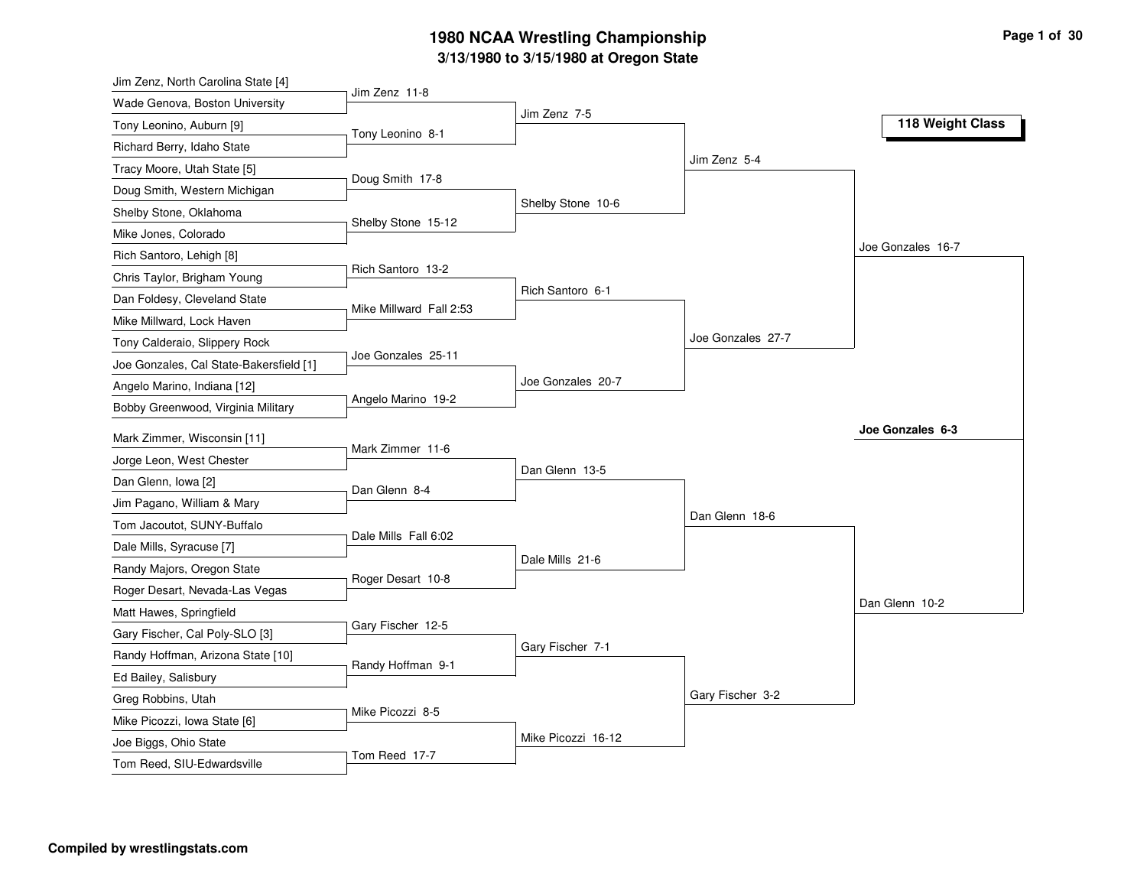### **3/13/1980 to 3/15/1980 at Oregon State 1980 NCAA Wrestling Championship Page <sup>1</sup> of <sup>30</sup>**

| Jim Zenz, North Carolina State [4]      |                         |                    |                   |                   |
|-----------------------------------------|-------------------------|--------------------|-------------------|-------------------|
| Wade Genova, Boston University          | Jim Zenz 11-8           | Jim Zenz 7-5       |                   |                   |
| Tony Leonino, Auburn [9]                | Tony Leonino 8-1        |                    |                   | 118 Weight Class  |
| Richard Berry, Idaho State              |                         |                    |                   |                   |
| Tracy Moore, Utah State [5]             |                         |                    | Jim Zenz 5-4      |                   |
| Doug Smith, Western Michigan            | Doug Smith 17-8         |                    |                   |                   |
| Shelby Stone, Oklahoma                  |                         | Shelby Stone 10-6  |                   |                   |
| Mike Jones, Colorado                    | Shelby Stone 15-12      |                    |                   |                   |
| Rich Santoro, Lehigh [8]                |                         |                    |                   | Joe Gonzales 16-7 |
| Chris Taylor, Brigham Young             | Rich Santoro 13-2       |                    |                   |                   |
| Dan Foldesy, Cleveland State            |                         | Rich Santoro 6-1   |                   |                   |
| Mike Millward, Lock Haven               | Mike Millward Fall 2:53 |                    |                   |                   |
| Tony Calderaio, Slippery Rock           |                         |                    | Joe Gonzales 27-7 |                   |
| Joe Gonzales, Cal State-Bakersfield [1] | Joe Gonzales 25-11      |                    |                   |                   |
| Angelo Marino, Indiana [12]             |                         | Joe Gonzales 20-7  |                   |                   |
| Bobby Greenwood, Virginia Military      | Angelo Marino 19-2      |                    |                   |                   |
| Mark Zimmer, Wisconsin [11]             |                         |                    |                   | Joe Gonzales 6-3  |
| Jorge Leon, West Chester                | Mark Zimmer 11-6        |                    |                   |                   |
| Dan Glenn, Iowa [2]                     |                         | Dan Glenn 13-5     |                   |                   |
| Jim Pagano, William & Mary              | Dan Glenn 8-4           |                    |                   |                   |
| Tom Jacoutot, SUNY-Buffalo              |                         |                    | Dan Glenn 18-6    |                   |
| Dale Mills, Syracuse [7]                | Dale Mills Fall 6:02    |                    |                   |                   |
| Randy Majors, Oregon State              |                         | Dale Mills 21-6    |                   |                   |
| Roger Desart, Nevada-Las Vegas          | Roger Desart 10-8       |                    |                   |                   |
| Matt Hawes, Springfield                 |                         |                    |                   | Dan Glenn 10-2    |
| Gary Fischer, Cal Poly-SLO [3]          | Gary Fischer 12-5       |                    |                   |                   |
|                                         |                         | Gary Fischer 7-1   |                   |                   |
| Randy Hoffman, Arizona State [10]       | Randy Hoffman 9-1       |                    |                   |                   |
| Ed Bailey, Salisbury                    |                         |                    | Gary Fischer 3-2  |                   |
| Greg Robbins, Utah                      | Mike Picozzi 8-5        |                    |                   |                   |
| Mike Picozzi, Iowa State [6]            |                         | Mike Picozzi 16-12 |                   |                   |
|                                         |                         |                    |                   |                   |
| Joe Biggs, Ohio State                   |                         |                    |                   |                   |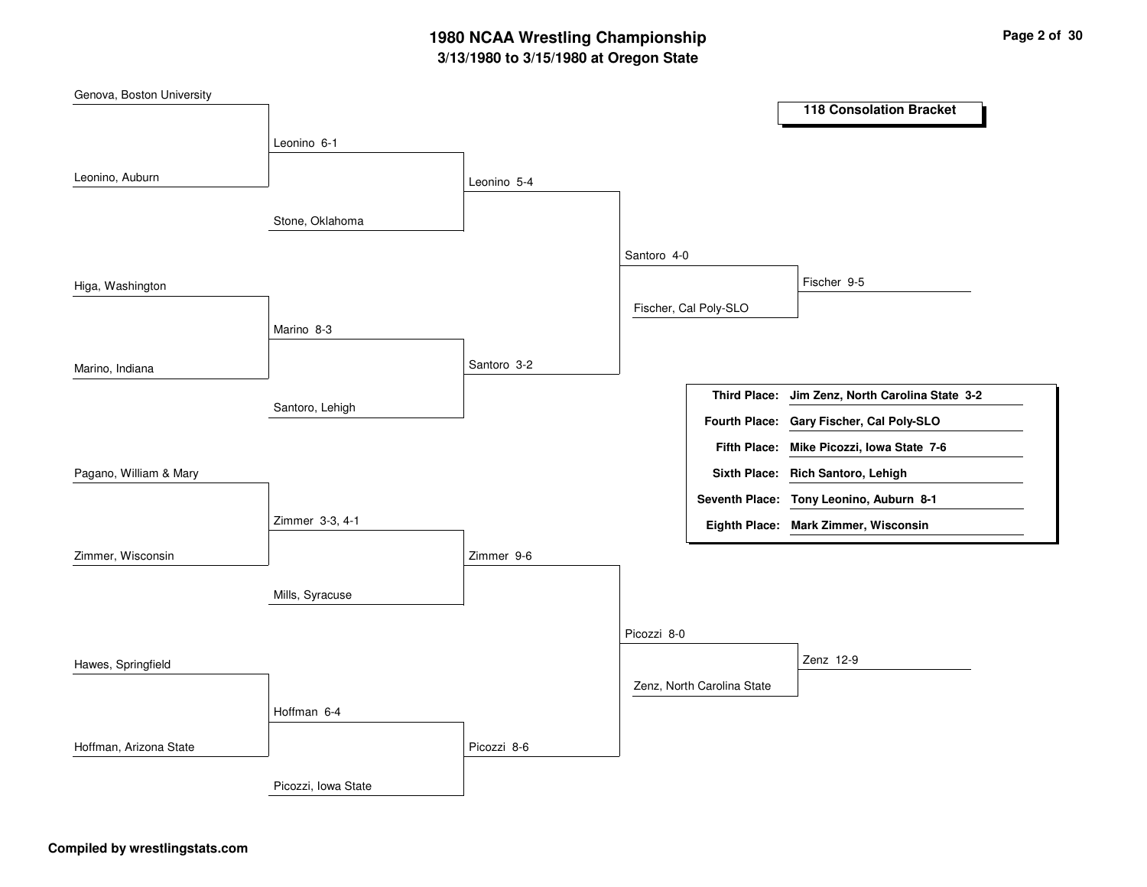# **3/13/1980 to 3/15/1980 at Oregon State 1980 NCAA Wrestling Championship Page <sup>2</sup> of <sup>30</sup>**

| Genova, Boston University |                     |             |             |                            |                                           |
|---------------------------|---------------------|-------------|-------------|----------------------------|-------------------------------------------|
|                           |                     |             |             |                            | <b>118 Consolation Bracket</b>            |
|                           | Leonino 6-1         |             |             |                            |                                           |
| Leonino, Auburn           |                     |             |             |                            |                                           |
|                           |                     | Leonino 5-4 |             |                            |                                           |
|                           | Stone, Oklahoma     |             |             |                            |                                           |
|                           |                     |             | Santoro 4-0 |                            |                                           |
| Higa, Washington          |                     |             |             |                            | Fischer 9-5                               |
|                           |                     |             |             | Fischer, Cal Poly-SLO      |                                           |
|                           | Marino 8-3          |             |             |                            |                                           |
| Marino, Indiana           |                     | Santoro 3-2 |             |                            |                                           |
|                           |                     |             |             | <b>Third Place:</b>        | Jim Zenz, North Carolina State 3-2        |
|                           | Santoro, Lehigh     |             |             |                            | Fourth Place: Gary Fischer, Cal Poly-SLO  |
|                           |                     |             |             |                            | Fifth Place: Mike Picozzi, Iowa State 7-6 |
|                           |                     |             |             |                            |                                           |
| Pagano, William & Mary    |                     |             |             |                            | Sixth Place: Rich Santoro, Lehigh         |
|                           |                     |             |             |                            | Seventh Place: Tony Leonino, Auburn 8-1   |
|                           | Zimmer 3-3, 4-1     |             |             |                            | Eighth Place: Mark Zimmer, Wisconsin      |
| Zimmer, Wisconsin         |                     | Zimmer 9-6  |             |                            |                                           |
|                           |                     |             |             |                            |                                           |
|                           | Mills, Syracuse     |             |             |                            |                                           |
|                           |                     |             | Picozzi 8-0 |                            |                                           |
| Hawes, Springfield        |                     |             |             |                            | Zenz 12-9                                 |
|                           |                     |             |             | Zenz, North Carolina State |                                           |
|                           | Hoffman 6-4         |             |             |                            |                                           |
| Hoffman, Arizona State    |                     | Picozzi 8-6 |             |                            |                                           |
|                           | Picozzi, Iowa State |             |             |                            |                                           |
|                           |                     |             |             |                            |                                           |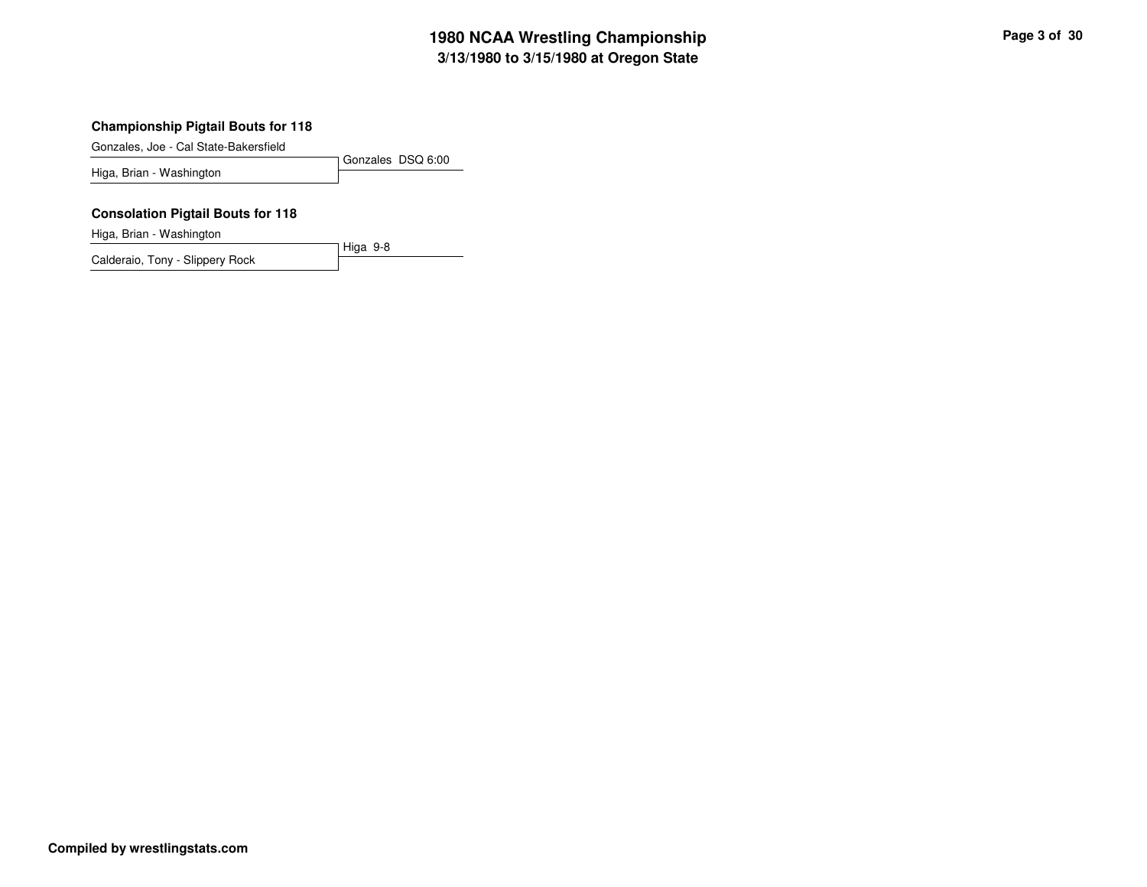## **3/13/1980 to 3/15/1980 at Oregon State 1980 NCAA Wrestling Championship Page <sup>3</sup> of <sup>30</sup>**

#### **Championship Pigtail Bouts for 118**

Gonzales, Joe - Cal State-Bakersfield

Gonzales DSQ 6:00 Higa, Brian - Washington

Higa 9-8

#### **Consolation Pigtail Bouts for 118**

Higa, Brian - Washington

Calderaio, Tony - Slippery Rock

**Compiled by wrestlingstats.com**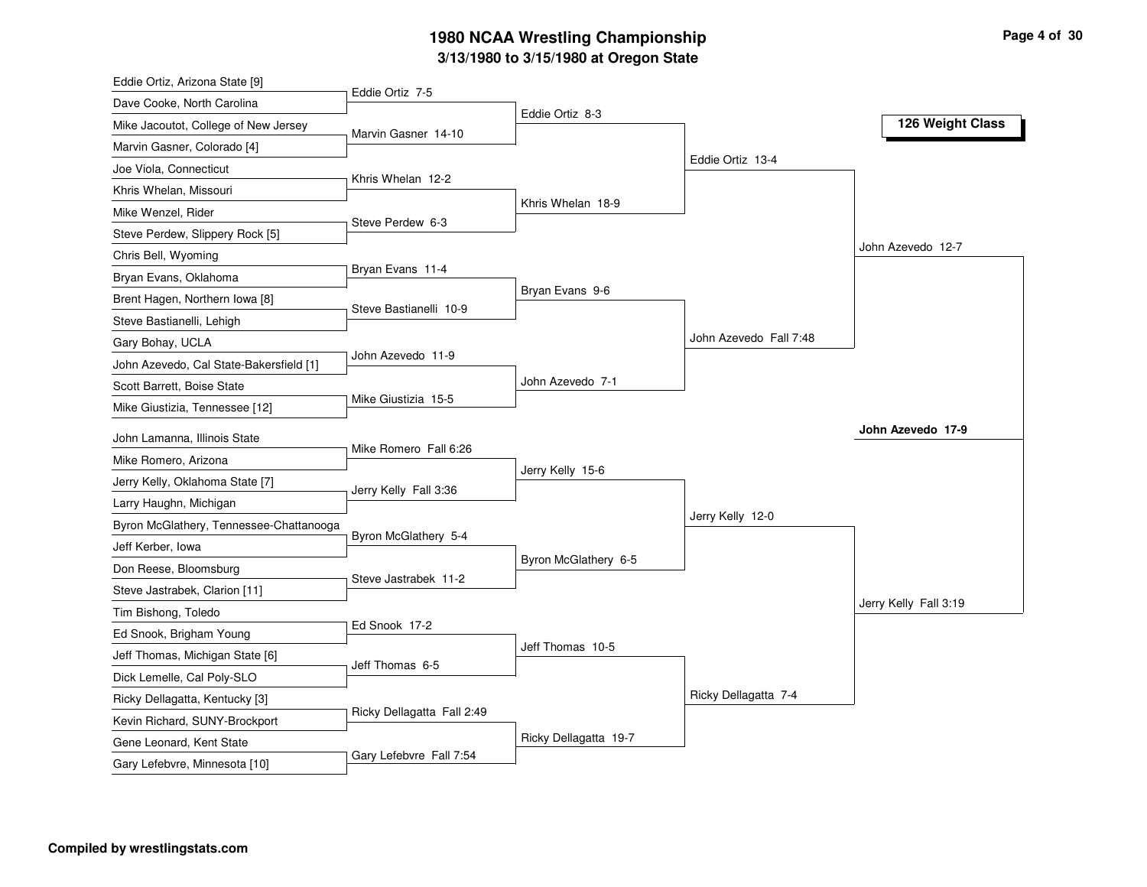# **3/13/1980 to 3/15/1980 at Oregon State 1980 NCAA Wrestling Championship Page <sup>4</sup> of <sup>30</sup>**

| Eddie Ortiz, Arizona State [9]          |                            |                       |                        |                       |
|-----------------------------------------|----------------------------|-----------------------|------------------------|-----------------------|
| Dave Cooke, North Carolina              | Eddie Ortiz 7-5            |                       |                        |                       |
| Mike Jacoutot, College of New Jersey    | Marvin Gasner 14-10        | Eddie Ortiz 8-3       |                        | 126 Weight Class      |
| Marvin Gasner, Colorado [4]             |                            |                       |                        |                       |
| Joe Viola, Connecticut                  |                            |                       | Eddie Ortiz 13-4       |                       |
| Khris Whelan, Missouri                  | Khris Whelan 12-2          |                       |                        |                       |
| Mike Wenzel, Rider                      |                            | Khris Whelan 18-9     |                        |                       |
| Steve Perdew, Slippery Rock [5]         | Steve Perdew 6-3           |                       |                        |                       |
| Chris Bell, Wyoming                     |                            |                       |                        | John Azevedo 12-7     |
| Bryan Evans, Oklahoma                   | Bryan Evans 11-4           |                       |                        |                       |
| Brent Hagen, Northern Iowa [8]          |                            | Bryan Evans 9-6       |                        |                       |
| Steve Bastianelli, Lehigh               | Steve Bastianelli 10-9     |                       |                        |                       |
| Gary Bohay, UCLA                        |                            |                       | John Azevedo Fall 7:48 |                       |
| John Azevedo, Cal State-Bakersfield [1] | John Azevedo 11-9          |                       |                        |                       |
| Scott Barrett, Boise State              |                            | John Azevedo 7-1      |                        |                       |
| Mike Giustizia, Tennessee [12]          | Mike Giustizia 15-5        |                       |                        |                       |
| John Lamanna, Illinois State            |                            |                       |                        | John Azevedo 17-9     |
|                                         | Mike Romero Fall 6:26      |                       |                        |                       |
| Mike Romero, Arizona                    |                            | Jerry Kelly 15-6      |                        |                       |
| Jerry Kelly, Oklahoma State [7]         | Jerry Kelly Fall 3:36      |                       |                        |                       |
| Larry Haughn, Michigan                  |                            |                       | Jerry Kelly 12-0       |                       |
| Byron McGlathery, Tennessee-Chattanooga | Byron McGlathery 5-4       |                       |                        |                       |
| Jeff Kerber, Iowa                       |                            | Byron McGlathery 6-5  |                        |                       |
| Don Reese, Bloomsburg                   | Steve Jastrabek 11-2       |                       |                        |                       |
| Steve Jastrabek, Clarion [11]           |                            |                       |                        | Jerry Kelly Fall 3:19 |
| Tim Bishong, Toledo                     | Ed Snook 17-2              |                       |                        |                       |
| Ed Snook, Brigham Young                 |                            | Jeff Thomas 10-5      |                        |                       |
| Jeff Thomas, Michigan State [6]         | Jeff Thomas 6-5            |                       |                        |                       |
| Dick Lemelle, Cal Poly-SLO              |                            |                       | Ricky Dellagatta 7-4   |                       |
| Ricky Dellagatta, Kentucky [3]          | Ricky Dellagatta Fall 2:49 |                       |                        |                       |
| Kevin Richard, SUNY-Brockport           |                            | Ricky Dellagatta 19-7 |                        |                       |
| Gene Leonard, Kent State                | Gary Lefebvre Fall 7:54    |                       |                        |                       |
| Gary Lefebvre, Minnesota [10]           |                            |                       |                        |                       |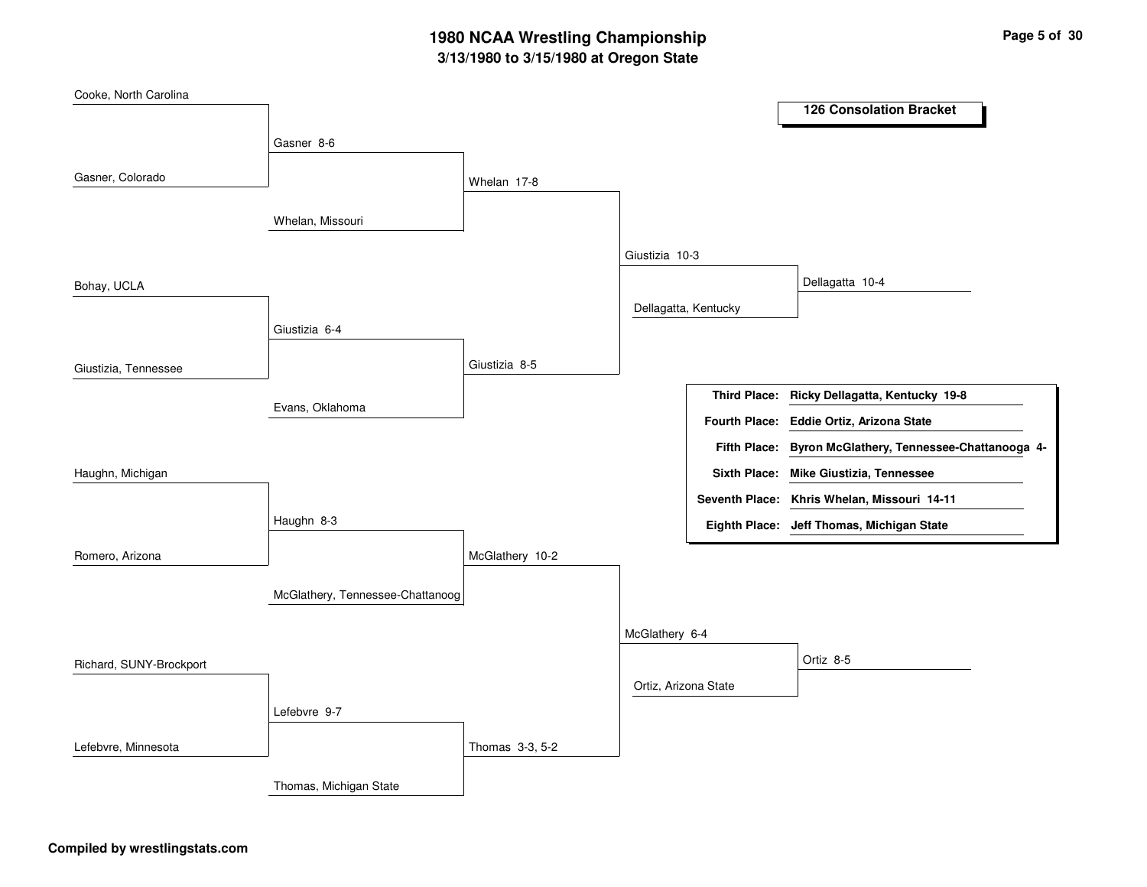# **3/13/1980 to 3/15/1980 at Oregon State 1980 NCAA Wrestling Championship Page <sup>5</sup> of <sup>30</sup>**

| Cooke, North Carolina   |                                  |                 |                      |                      | <b>126 Consolation Bracket</b>               |  |
|-------------------------|----------------------------------|-----------------|----------------------|----------------------|----------------------------------------------|--|
|                         |                                  |                 |                      |                      |                                              |  |
|                         | Gasner 8-6                       |                 |                      |                      |                                              |  |
| Gasner, Colorado        |                                  | Whelan 17-8     |                      |                      |                                              |  |
|                         | Whelan, Missouri                 |                 |                      |                      |                                              |  |
|                         |                                  |                 | Giustizia 10-3       |                      |                                              |  |
| Bohay, UCLA             |                                  |                 |                      |                      | Dellagatta 10-4                              |  |
|                         |                                  |                 |                      | Dellagatta, Kentucky |                                              |  |
|                         | Giustizia 6-4                    |                 |                      |                      |                                              |  |
| Giustizia, Tennessee    |                                  | Giustizia 8-5   |                      |                      |                                              |  |
|                         | Evans, Oklahoma                  |                 |                      |                      | Third Place: Ricky Dellagatta, Kentucky 19-8 |  |
|                         |                                  |                 |                      |                      | Fourth Place: Eddie Ortiz, Arizona State     |  |
|                         |                                  |                 |                      | <b>Fifth Place:</b>  | Byron McGlathery, Tennessee-Chattanooga 4-   |  |
| Haughn, Michigan        |                                  |                 |                      |                      | Sixth Place: Mike Giustizia, Tennessee       |  |
|                         |                                  |                 |                      |                      | Seventh Place: Khris Whelan, Missouri 14-11  |  |
|                         | Haughn 8-3                       |                 |                      |                      | Eighth Place: Jeff Thomas, Michigan State    |  |
| Romero, Arizona         |                                  | McGlathery 10-2 |                      |                      |                                              |  |
|                         | McGlathery, Tennessee-Chattanoog |                 |                      |                      |                                              |  |
|                         |                                  |                 | McGlathery 6-4       |                      |                                              |  |
| Richard, SUNY-Brockport |                                  |                 |                      |                      | Ortiz 8-5                                    |  |
|                         |                                  |                 | Ortiz, Arizona State |                      |                                              |  |
|                         | Lefebvre 9-7                     |                 |                      |                      |                                              |  |
| Lefebvre, Minnesota     |                                  | Thomas 3-3, 5-2 |                      |                      |                                              |  |
|                         | Thomas, Michigan State           |                 |                      |                      |                                              |  |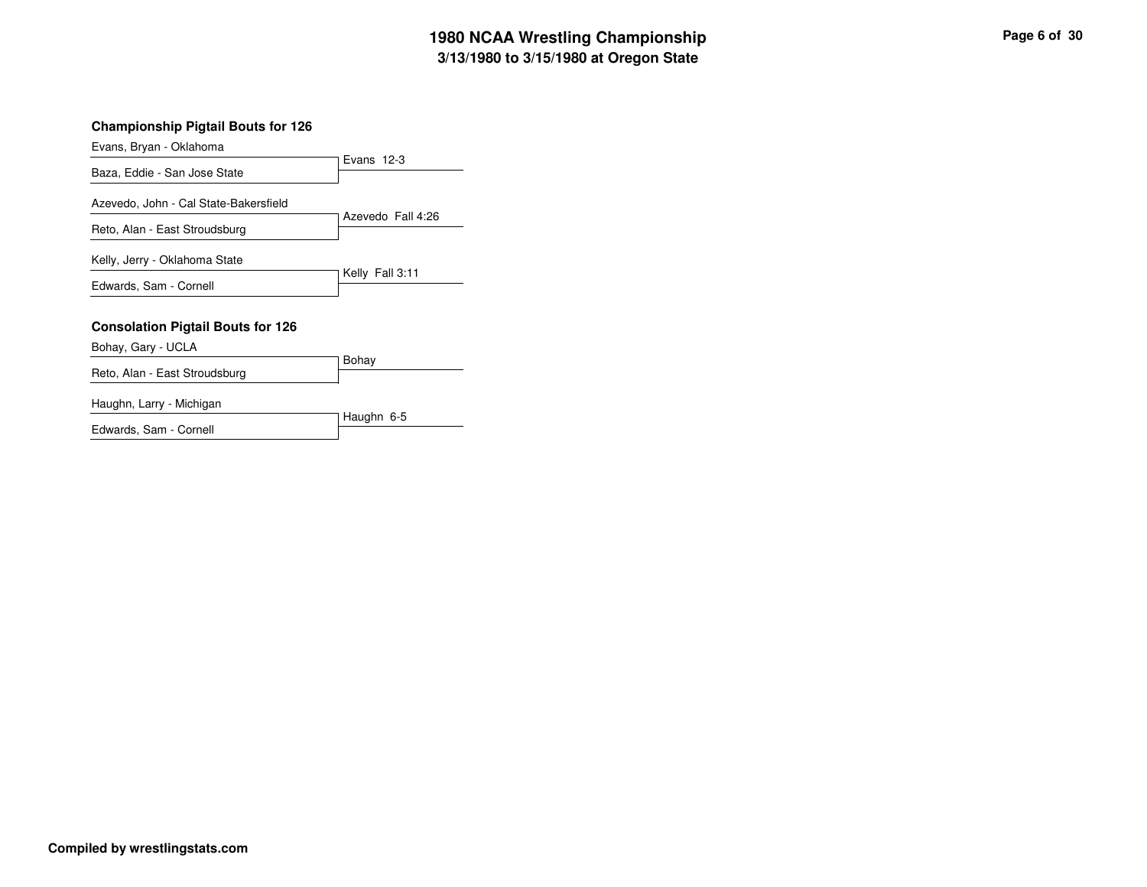## **3/13/1980 to 3/15/1980 at Oregon State 1980 NCAA Wrestling Championship Page <sup>6</sup> of <sup>30</sup>**

Evans, Bryan - Oklahoma

|                                                                        | Evans $12-3$      |
|------------------------------------------------------------------------|-------------------|
| Baza, Eddie - San Jose State                                           |                   |
| Azevedo, John - Cal State-Bakersfield<br>Reto, Alan - East Stroudsburg | Azevedo Fall 4:26 |
| Kelly, Jerry - Oklahoma State                                          | Kelly Fall 3:11   |
| Edwards, Sam - Cornell                                                 |                   |
| <b>Consolation Pigtail Bouts for 126</b>                               |                   |
| Bohay, Gary - UCLA                                                     |                   |
|                                                                        | <b>Rohav</b>      |

|                               | <b>DUIRY</b> |
|-------------------------------|--------------|
| Reto, Alan - East Stroudsburg |              |
|                               |              |
|                               |              |

Haughn, Larry - Michigan

| Haughin, Larry - Michigan |              |
|---------------------------|--------------|
|                           | T Haughn 6-5 |
| Edwards, Sam - Cornell    |              |
|                           |              |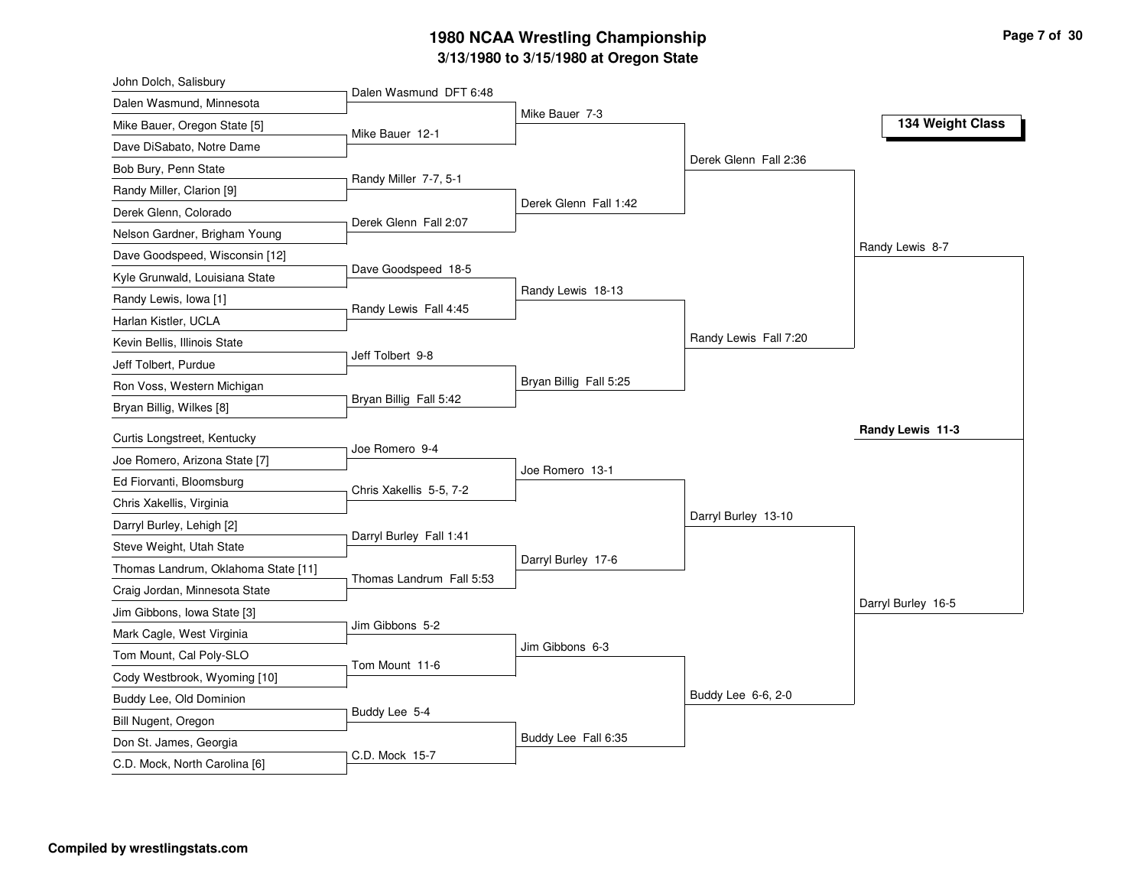# **3/13/1980 to 3/15/1980 at Oregon State 1980 NCAA Wrestling Championship Page <sup>7</sup> of <sup>30</sup>**

| John Dolch, Salisbury               |                          |                        |                       |                    |
|-------------------------------------|--------------------------|------------------------|-----------------------|--------------------|
| Dalen Wasmund, Minnesota            | Dalen Wasmund DFT 6:48   |                        |                       |                    |
| Mike Bauer, Oregon State [5]        | Mike Bauer 12-1          | Mike Bauer 7-3         |                       | 134 Weight Class   |
| Dave DiSabato, Notre Dame           |                          |                        |                       |                    |
| Bob Bury, Penn State                |                          |                        | Derek Glenn Fall 2:36 |                    |
| Randy Miller, Clarion [9]           | Randy Miller 7-7, 5-1    |                        |                       |                    |
| Derek Glenn, Colorado               |                          | Derek Glenn Fall 1:42  |                       |                    |
| Nelson Gardner, Brigham Young       | Derek Glenn Fall 2:07    |                        |                       |                    |
| Dave Goodspeed, Wisconsin [12]      |                          |                        |                       | Randy Lewis 8-7    |
| Kyle Grunwald, Louisiana State      | Dave Goodspeed 18-5      |                        |                       |                    |
| Randy Lewis, Iowa [1]               |                          | Randy Lewis 18-13      |                       |                    |
| Harlan Kistler, UCLA                | Randy Lewis Fall 4:45    |                        |                       |                    |
| Kevin Bellis, Illinois State        |                          |                        | Randy Lewis Fall 7:20 |                    |
| Jeff Tolbert, Purdue                | Jeff Tolbert 9-8         |                        |                       |                    |
| Ron Voss, Western Michigan          |                          | Bryan Billig Fall 5:25 |                       |                    |
| Bryan Billig, Wilkes [8]            | Bryan Billig Fall 5:42   |                        |                       |                    |
| Curtis Longstreet, Kentucky         |                          |                        |                       | Randy Lewis 11-3   |
|                                     | Joe Romero 9-4           |                        |                       |                    |
| Joe Romero, Arizona State [7]       |                          | Joe Romero 13-1        |                       |                    |
| Ed Fiorvanti, Bloomsburg            | Chris Xakellis 5-5, 7-2  |                        |                       |                    |
| Chris Xakellis, Virginia            |                          |                        | Darryl Burley 13-10   |                    |
| Darryl Burley, Lehigh [2]           | Darryl Burley Fall 1:41  |                        |                       |                    |
| Steve Weight, Utah State            |                          | Darryl Burley 17-6     |                       |                    |
| Thomas Landrum, Oklahoma State [11] | Thomas Landrum Fall 5:53 |                        |                       |                    |
| Craig Jordan, Minnesota State       |                          |                        |                       | Darryl Burley 16-5 |
| Jim Gibbons, Iowa State [3]         | Jim Gibbons 5-2          |                        |                       |                    |
| Mark Cagle, West Virginia           |                          | Jim Gibbons 6-3        |                       |                    |
| Tom Mount, Cal Poly-SLO             | Tom Mount 11-6           |                        |                       |                    |
| Cody Westbrook, Wyoming [10]        |                          |                        | Buddy Lee 6-6, 2-0    |                    |
| Buddy Lee, Old Dominion             | Buddy Lee 5-4            |                        |                       |                    |
| Bill Nugent, Oregon                 |                          | Buddy Lee Fall 6:35    |                       |                    |
| Don St. James, Georgia              | C.D. Mock 15-7           |                        |                       |                    |
| C.D. Mock, North Carolina [6]       |                          |                        |                       |                    |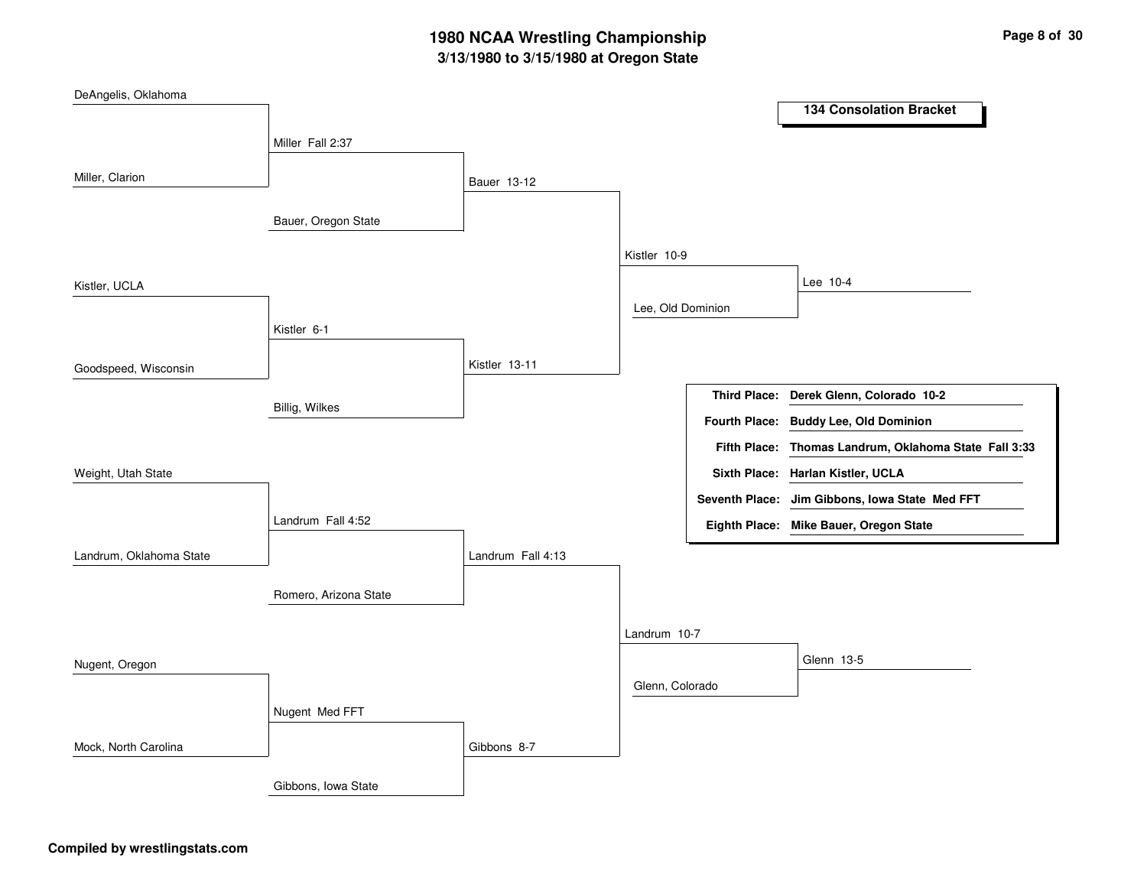# **3/13/1980 to 3/15/1980 at Oregon State 1980 NCAA Wrestling Championship Page <sup>8</sup> of <sup>30</sup>**

| DeAngelis, Oklahoma     |                       |                   |                   |                                                       |
|-------------------------|-----------------------|-------------------|-------------------|-------------------------------------------------------|
|                         |                       |                   |                   | <b>134 Consolation Bracket</b>                        |
|                         | Miller Fall 2:37      |                   |                   |                                                       |
|                         |                       |                   |                   |                                                       |
| Miller, Clarion         |                       | Bauer 13-12       |                   |                                                       |
|                         | Bauer, Oregon State   |                   |                   |                                                       |
|                         |                       |                   |                   |                                                       |
|                         |                       |                   | Kistler 10-9      |                                                       |
| Kistler, UCLA           |                       |                   |                   | Lee 10-4                                              |
|                         |                       |                   | Lee, Old Dominion |                                                       |
|                         | Kistler 6-1           |                   |                   |                                                       |
|                         |                       |                   |                   |                                                       |
| Goodspeed, Wisconsin    |                       | Kistler 13-11     |                   |                                                       |
|                         | Billig, Wilkes        |                   |                   | Third Place: Derek Glenn, Colorado 10-2               |
|                         |                       |                   |                   | Fourth Place: Buddy Lee, Old Dominion                 |
|                         |                       |                   |                   | Fifth Place: Thomas Landrum, Oklahoma State Fall 3:33 |
| Weight, Utah State      |                       |                   |                   | Sixth Place: Harlan Kistler, UCLA                     |
|                         |                       |                   |                   | Seventh Place: Jim Gibbons, Iowa State Med FFT        |
|                         | Landrum Fall 4:52     |                   |                   | Eighth Place: Mike Bauer, Oregon State                |
| Landrum, Oklahoma State |                       | Landrum Fall 4:13 |                   |                                                       |
|                         |                       |                   |                   |                                                       |
|                         | Romero, Arizona State |                   |                   |                                                       |
|                         |                       |                   | Landrum 10-7      |                                                       |
|                         |                       |                   |                   | Glenn 13-5                                            |
| Nugent, Oregon          |                       |                   |                   |                                                       |
|                         |                       |                   | Glenn, Colorado   |                                                       |
|                         | Nugent Med FFT        |                   |                   |                                                       |
| Mock, North Carolina    |                       | Gibbons 8-7       |                   |                                                       |
|                         | Gibbons, Iowa State   |                   |                   |                                                       |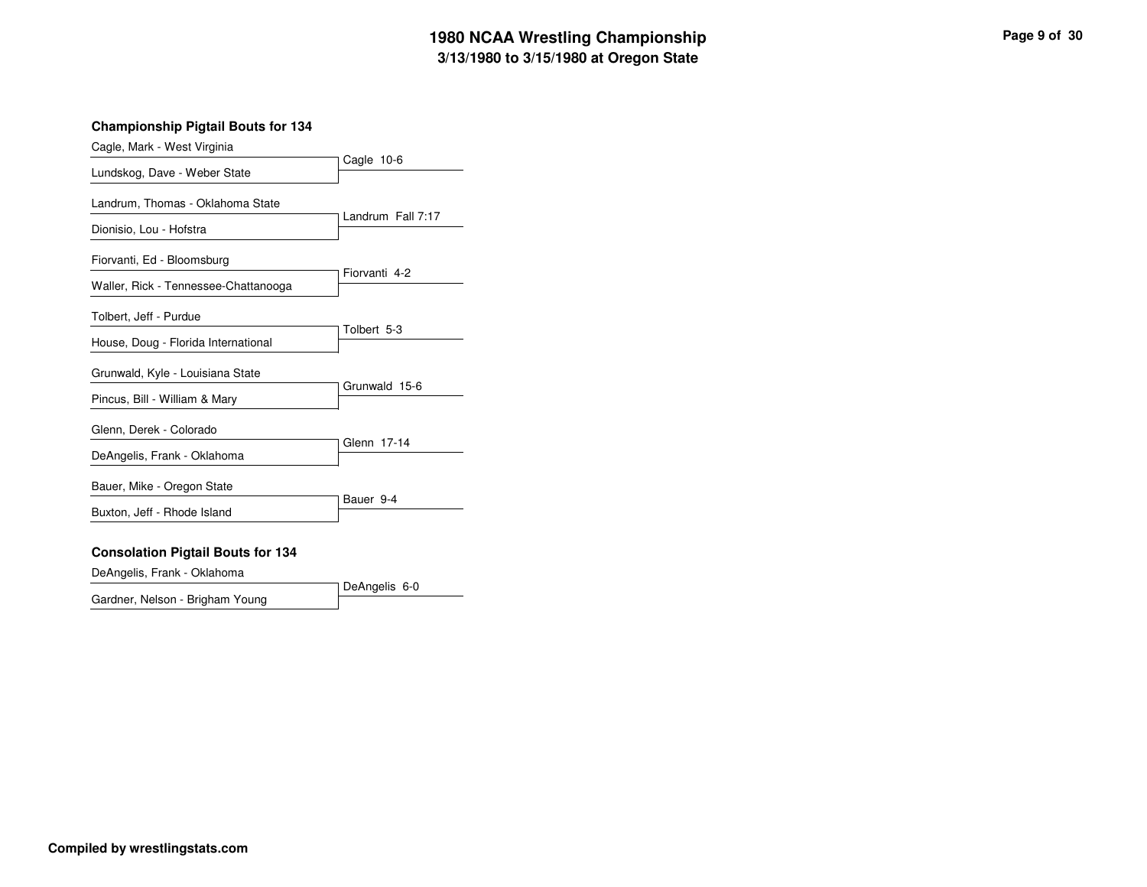# **3/13/1980 to 3/15/1980 at Oregon State 1980 NCAA Wrestling Championship Page <sup>9</sup> of <sup>30</sup>**

#### **Championship Pigtail Bouts for 134**

| Cagle, Mark - West Virginia                                   |                   |  |  |  |  |
|---------------------------------------------------------------|-------------------|--|--|--|--|
| Lundskog, Dave - Weber State                                  | Cagle 10-6        |  |  |  |  |
| Landrum, Thomas - Oklahoma State<br>Dionisio, Lou - Hofstra   | Landrum Fall 7:17 |  |  |  |  |
| Fiorvanti, Ed - Bloomsburg                                    |                   |  |  |  |  |
| Waller, Rick - Tennessee-Chattanooga                          | Fiorvanti 4-2     |  |  |  |  |
| Tolbert, Jeff - Purdue<br>House, Doug - Florida International | Tolbert 5-3       |  |  |  |  |
| Grunwald, Kyle - Louisiana State                              |                   |  |  |  |  |
| Pincus, Bill - William & Mary                                 | Grunwald 15-6     |  |  |  |  |
| Glenn, Derek - Colorado                                       | Glenn 17-14       |  |  |  |  |
| DeAngelis, Frank - Oklahoma                                   |                   |  |  |  |  |
| Bauer, Mike - Oregon State                                    | Bauer 9-4         |  |  |  |  |
| Buxton, Jeff - Rhode Island                                   |                   |  |  |  |  |
| <b>Consolation Pigtail Bouts for 134</b>                      |                   |  |  |  |  |

DeAngelis, Frank - Oklahoma

DeAngelis 6-0 Gardner, Nelson - Brigham Young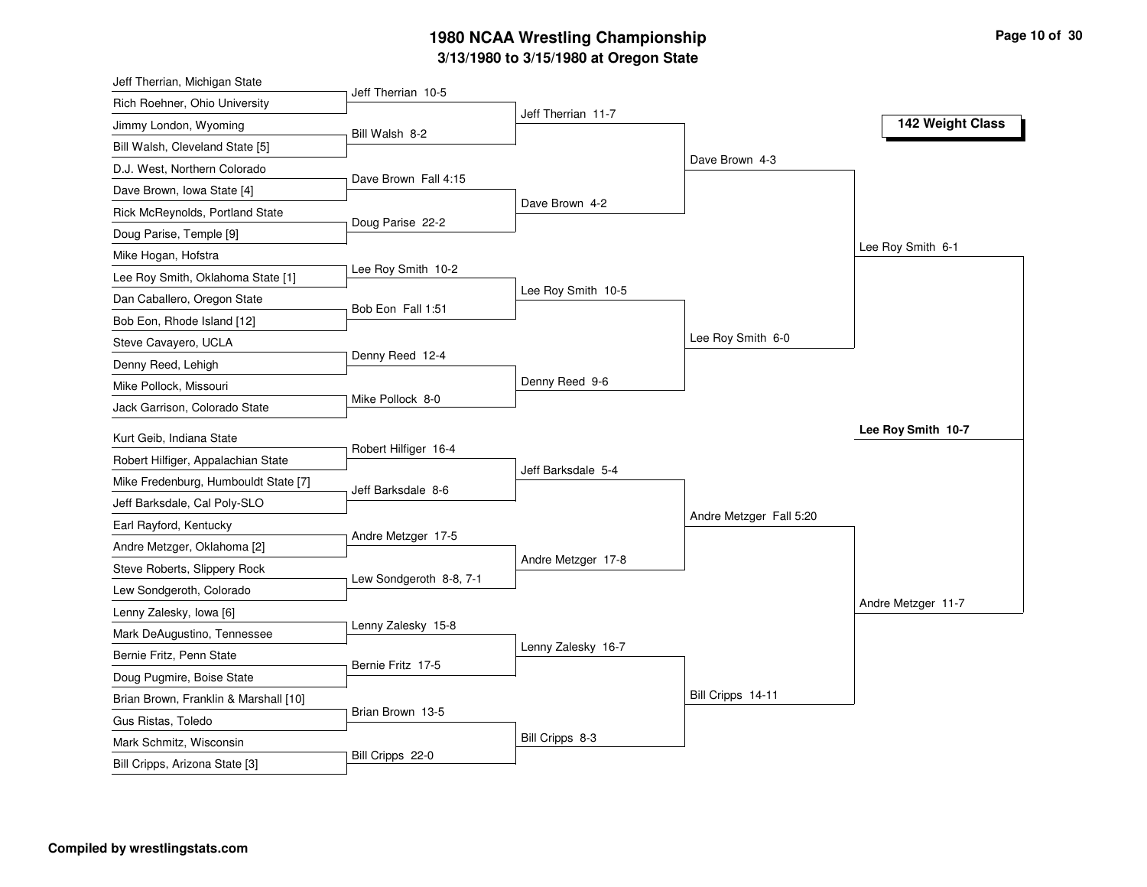# **3/13/1980 to 3/15/1980 at Oregon State 1980 NCAA Wrestling Championship Page <sup>10</sup> of <sup>30</sup>**

| Jeff Therrian, Michigan State                         |                         |                    |                         |                    |
|-------------------------------------------------------|-------------------------|--------------------|-------------------------|--------------------|
| Rich Roehner, Ohio University                         | Jeff Therrian 10-5      |                    |                         |                    |
| Jimmy London, Wyoming                                 | Bill Walsh 8-2          | Jeff Therrian 11-7 |                         | 142 Weight Class   |
| Bill Walsh, Cleveland State [5]                       |                         |                    |                         |                    |
| D.J. West, Northern Colorado                          |                         |                    | Dave Brown 4-3          |                    |
| Dave Brown, Iowa State [4]                            | Dave Brown Fall 4:15    |                    |                         |                    |
| Rick McReynolds, Portland State                       |                         | Dave Brown 4-2     |                         |                    |
| Doug Parise, Temple [9]                               | Doug Parise 22-2        |                    |                         |                    |
| Mike Hogan, Hofstra                                   |                         |                    |                         | Lee Roy Smith 6-1  |
| Lee Roy Smith, Oklahoma State [1]                     | Lee Roy Smith 10-2      |                    |                         |                    |
| Dan Caballero, Oregon State                           |                         | Lee Roy Smith 10-5 |                         |                    |
| Bob Eon, Rhode Island [12]                            | Bob Eon Fall 1:51       |                    |                         |                    |
| Steve Cavayero, UCLA                                  |                         |                    | Lee Roy Smith 6-0       |                    |
| Denny Reed, Lehigh                                    | Denny Reed 12-4         |                    |                         |                    |
| Mike Pollock, Missouri                                |                         | Denny Reed 9-6     |                         |                    |
| Jack Garrison, Colorado State                         | Mike Pollock 8-0        |                    |                         |                    |
| Kurt Geib, Indiana State                              |                         |                    |                         | Lee Roy Smith 10-7 |
|                                                       | Robert Hilfiger 16-4    |                    |                         |                    |
| Robert Hilfiger, Appalachian State                    |                         | Jeff Barksdale 5-4 |                         |                    |
| Mike Fredenburg, Humbouldt State [7]                  | Jeff Barksdale 8-6      |                    |                         |                    |
| Jeff Barksdale, Cal Poly-SLO                          |                         |                    | Andre Metzger Fall 5:20 |                    |
| Earl Rayford, Kentucky<br>Andre Metzger, Oklahoma [2] | Andre Metzger 17-5      |                    |                         |                    |
|                                                       |                         | Andre Metzger 17-8 |                         |                    |
| Steve Roberts, Slippery Rock                          | Lew Sondgeroth 8-8, 7-1 |                    |                         |                    |
| Lew Sondgeroth, Colorado                              |                         |                    |                         | Andre Metzger 11-7 |
| Lenny Zalesky, Iowa [6]                               | Lenny Zalesky 15-8      |                    |                         |                    |
| Mark DeAugustino, Tennessee                           |                         | Lenny Zalesky 16-7 |                         |                    |
| Bernie Fritz, Penn State                              | Bernie Fritz 17-5       |                    |                         |                    |
| Doug Pugmire, Boise State                             |                         |                    | Bill Cripps 14-11       |                    |
| Brian Brown, Franklin & Marshall [10]                 | Brian Brown 13-5        |                    |                         |                    |
| Gus Ristas, Toledo                                    |                         | Bill Cripps 8-3    |                         |                    |
| Mark Schmitz, Wisconsin                               | Bill Cripps 22-0        |                    |                         |                    |
| Bill Cripps, Arizona State [3]                        |                         |                    |                         |                    |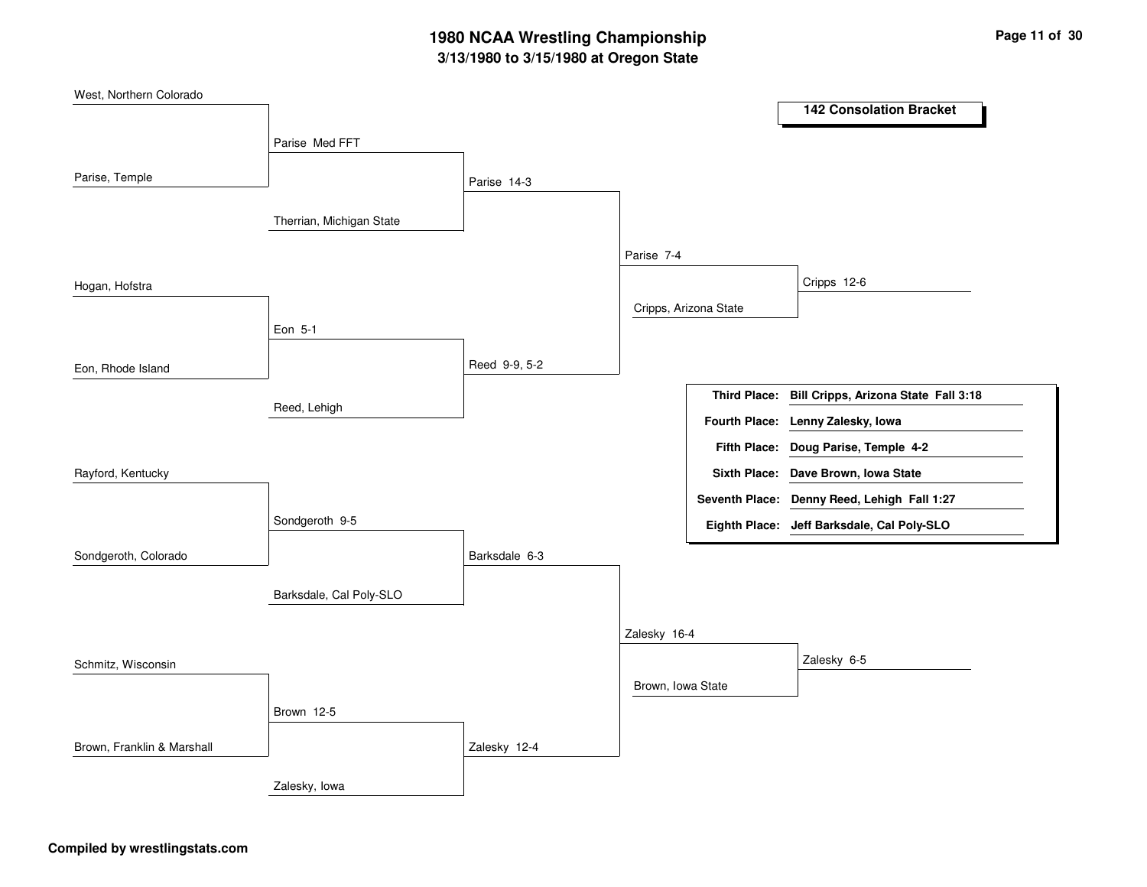# **3/13/1980 to 3/15/1980 at Oregon State 1980 NCAA Wrestling Championship Page <sup>11</sup> of <sup>30</sup>**

| West, Northern Colorado    |                          |               |                       |                     |                                                   |  |
|----------------------------|--------------------------|---------------|-----------------------|---------------------|---------------------------------------------------|--|
|                            |                          |               |                       |                     | <b>142 Consolation Bracket</b>                    |  |
|                            | Parise Med FFT           |               |                       |                     |                                                   |  |
| Parise, Temple             |                          |               |                       |                     |                                                   |  |
|                            |                          | Parise 14-3   |                       |                     |                                                   |  |
|                            | Therrian, Michigan State |               |                       |                     |                                                   |  |
|                            |                          |               |                       |                     |                                                   |  |
|                            |                          |               | Parise 7-4            |                     |                                                   |  |
| Hogan, Hofstra             |                          |               |                       |                     | Cripps 12-6                                       |  |
|                            |                          |               | Cripps, Arizona State |                     |                                                   |  |
|                            | Eon 5-1                  |               |                       |                     |                                                   |  |
|                            |                          | Reed 9-9, 5-2 |                       |                     |                                                   |  |
| Eon, Rhode Island          |                          |               |                       |                     |                                                   |  |
|                            | Reed, Lehigh             |               |                       |                     | Third Place: Bill Cripps, Arizona State Fall 3:18 |  |
|                            |                          |               |                       |                     | Fourth Place: Lenny Zalesky, Iowa                 |  |
|                            |                          |               |                       | <b>Fifth Place:</b> | Doug Parise, Temple 4-2                           |  |
| Rayford, Kentucky          |                          |               |                       |                     | Sixth Place: Dave Brown, Iowa State               |  |
|                            |                          |               |                       |                     | Seventh Place: Denny Reed, Lehigh Fall 1:27       |  |
|                            | Sondgeroth 9-5           |               |                       |                     | Eighth Place: Jeff Barksdale, Cal Poly-SLO        |  |
| Sondgeroth, Colorado       |                          | Barksdale 6-3 |                       |                     |                                                   |  |
|                            |                          |               |                       |                     |                                                   |  |
|                            | Barksdale, Cal Poly-SLO  |               |                       |                     |                                                   |  |
|                            |                          |               | Zalesky 16-4          |                     |                                                   |  |
|                            |                          |               |                       |                     |                                                   |  |
| Schmitz, Wisconsin         |                          |               |                       |                     | Zalesky 6-5                                       |  |
|                            |                          |               | Brown, Iowa State     |                     |                                                   |  |
|                            | Brown 12-5               |               |                       |                     |                                                   |  |
| Brown, Franklin & Marshall |                          | Zalesky 12-4  |                       |                     |                                                   |  |
|                            |                          |               |                       |                     |                                                   |  |
|                            | Zalesky, lowa            |               |                       |                     |                                                   |  |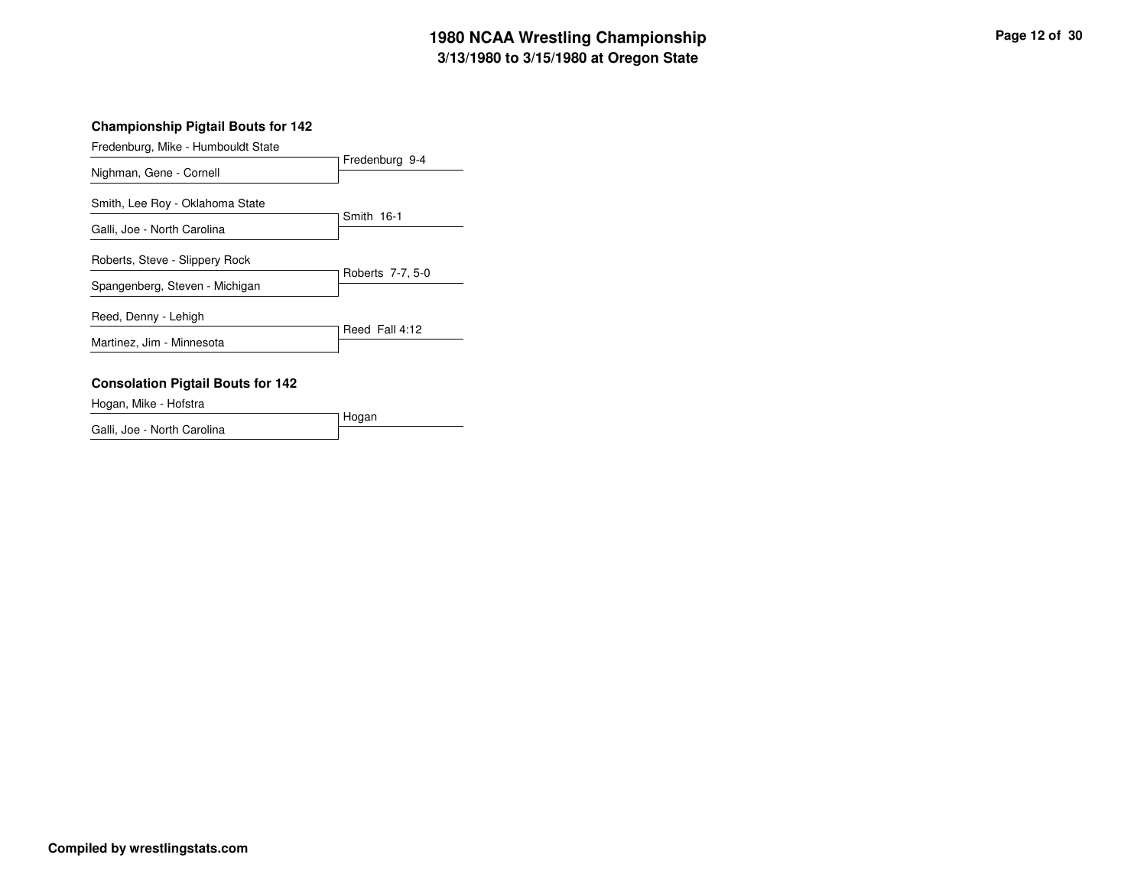# **3/13/1980 to 3/15/1980 at Oregon State 1980 NCAA Wrestling Championship Page <sup>12</sup> of <sup>30</sup>**

#### **Championship Pigtail Bouts for 142**

| Fredenburg, Mike - Humbouldt State       |                  |
|------------------------------------------|------------------|
|                                          | Fredenburg 9-4   |
| Nighman, Gene - Cornell                  |                  |
| Smith, Lee Roy - Oklahoma State          |                  |
| Galli, Joe - North Carolina              | Smith 16-1       |
|                                          |                  |
| Roberts, Steve - Slippery Rock           |                  |
| Spangenberg, Steven - Michigan           | Roberts 7-7, 5-0 |
|                                          |                  |
| Reed, Denny - Lehigh                     |                  |
|                                          | Reed Fall 4:12   |
| Martinez, Jim - Minnesota                |                  |
|                                          |                  |
| <b>Consolation Pigtail Bouts for 142</b> |                  |
| Hogan, Mike - Hofstra                    |                  |

Hogan Galli, Joe - North Carolina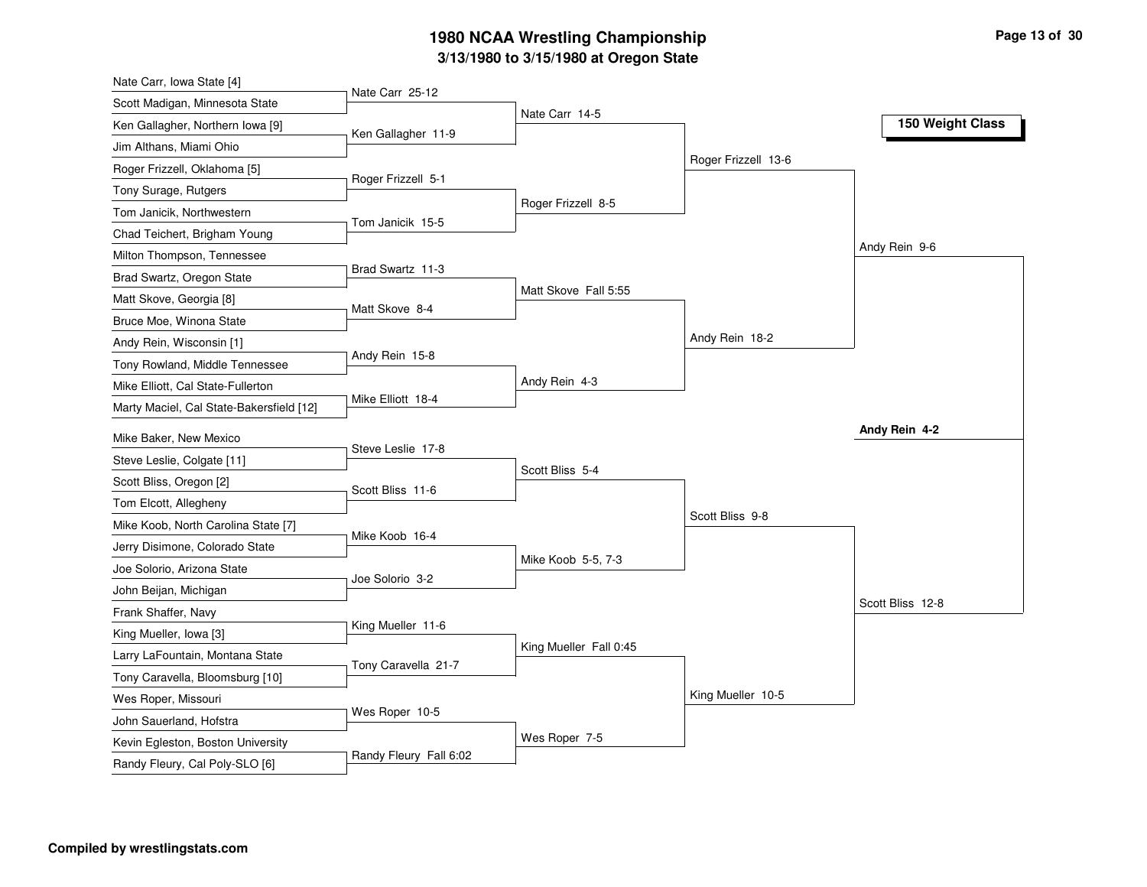# **3/13/1980 to 3/15/1980 at Oregon State 1980 NCAA Wrestling Championship Page <sup>13</sup> of <sup>30</sup>**

| Nate Carr, Iowa State [4]                                    |                     |                        |                     |                  |
|--------------------------------------------------------------|---------------------|------------------------|---------------------|------------------|
| Scott Madigan, Minnesota State                               | Nate Carr 25-12     | Nate Carr 14-5         |                     |                  |
| Ken Gallagher, Northern Iowa [9]                             | Ken Gallagher 11-9  |                        |                     | 150 Weight Class |
| Jim Althans, Miami Ohio                                      |                     |                        |                     |                  |
| Roger Frizzell, Oklahoma [5]                                 |                     |                        | Roger Frizzell 13-6 |                  |
| Tony Surage, Rutgers                                         | Roger Frizzell 5-1  |                        |                     |                  |
| Tom Janicik, Northwestern                                    |                     | Roger Frizzell 8-5     |                     |                  |
| Chad Teichert, Brigham Young                                 | Tom Janicik 15-5    |                        |                     |                  |
| Milton Thompson, Tennessee                                   |                     |                        |                     | Andy Rein 9-6    |
| Brad Swartz, Oregon State                                    | Brad Swartz 11-3    |                        |                     |                  |
| Matt Skove, Georgia [8]                                      |                     | Matt Skove Fall 5:55   |                     |                  |
| Bruce Moe, Winona State                                      | Matt Skove 8-4      |                        |                     |                  |
| Andy Rein, Wisconsin [1]                                     |                     |                        | Andy Rein 18-2      |                  |
| Tony Rowland, Middle Tennessee                               | Andy Rein 15-8      |                        |                     |                  |
| Mike Elliott, Cal State-Fullerton                            |                     | Andy Rein 4-3          |                     |                  |
| Marty Maciel, Cal State-Bakersfield [12]                     | Mike Elliott 18-4   |                        |                     |                  |
| Mike Baker, New Mexico                                       |                     |                        |                     | Andy Rein 4-2    |
| Steve Leslie, Colgate [11]                                   | Steve Leslie 17-8   |                        |                     |                  |
| Scott Bliss, Oregon [2]                                      |                     | Scott Bliss 5-4        |                     |                  |
| Tom Elcott, Allegheny                                        | Scott Bliss 11-6    |                        |                     |                  |
| Mike Koob, North Carolina State [7]                          |                     |                        | Scott Bliss 9-8     |                  |
| Jerry Disimone, Colorado State                               | Mike Koob 16-4      |                        |                     |                  |
| Joe Solorio, Arizona State                                   |                     | Mike Koob 5-5, 7-3     |                     |                  |
|                                                              | Joe Solorio 3-2     |                        |                     |                  |
| John Beijan, Michigan                                        |                     |                        |                     | Scott Bliss 12-8 |
| Frank Shaffer, Navy                                          |                     |                        |                     |                  |
| King Mueller, Iowa [3]                                       | King Mueller 11-6   |                        |                     |                  |
|                                                              |                     | King Mueller Fall 0:45 |                     |                  |
| Larry LaFountain, Montana State                              | Tony Caravella 21-7 |                        |                     |                  |
| Tony Caravella, Bloomsburg [10]                              |                     |                        |                     |                  |
| Wes Roper, Missouri                                          | Wes Roper 10-5      |                        | King Mueller 10-5   |                  |
| John Sauerland, Hofstra<br>Kevin Egleston, Boston University |                     | Wes Roper 7-5          |                     |                  |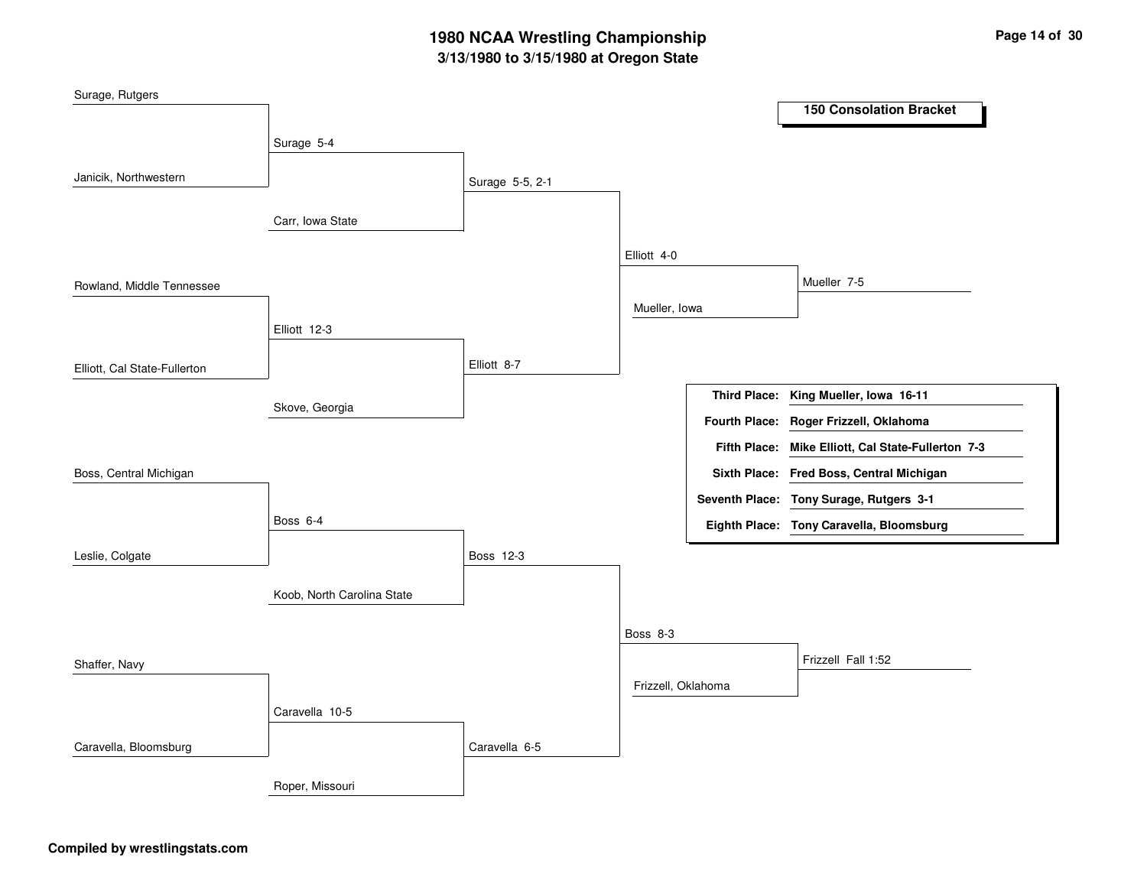# **3/13/1980 to 3/15/1980 at Oregon State 1980 NCAA Wrestling Championship Page <sup>14</sup> of <sup>30</sup>**

| Surage, Rutgers              |                            |                 |                    |                                                    |
|------------------------------|----------------------------|-----------------|--------------------|----------------------------------------------------|
|                              |                            |                 |                    | <b>150 Consolation Bracket</b>                     |
|                              | Surage 5-4                 |                 |                    |                                                    |
|                              |                            |                 |                    |                                                    |
| Janicik, Northwestern        |                            | Surage 5-5, 2-1 |                    |                                                    |
|                              | Carr, Iowa State           |                 |                    |                                                    |
|                              |                            |                 |                    |                                                    |
|                              |                            |                 | Elliott 4-0        |                                                    |
| Rowland, Middle Tennessee    |                            |                 |                    | Mueller 7-5                                        |
|                              |                            |                 | Mueller, Iowa      |                                                    |
|                              | Elliott 12-3               |                 |                    |                                                    |
|                              |                            | Elliott 8-7     |                    |                                                    |
| Elliott, Cal State-Fullerton |                            |                 |                    |                                                    |
|                              | Skove, Georgia             |                 |                    | Third Place: King Mueller, Iowa 16-11              |
|                              |                            |                 |                    | Fourth Place: Roger Frizzell, Oklahoma             |
|                              |                            |                 |                    | Fifth Place: Mike Elliott, Cal State-Fullerton 7-3 |
| Boss, Central Michigan       |                            |                 |                    | Sixth Place: Fred Boss, Central Michigan           |
|                              |                            |                 |                    | Seventh Place: Tony Surage, Rutgers 3-1            |
|                              | Boss 6-4                   |                 |                    | Eighth Place: Tony Caravella, Bloomsburg           |
| Leslie, Colgate              |                            | Boss 12-3       |                    |                                                    |
|                              |                            |                 |                    |                                                    |
|                              | Koob, North Carolina State |                 |                    |                                                    |
|                              |                            |                 |                    |                                                    |
|                              |                            |                 | Boss 8-3           |                                                    |
| Shaffer, Navy                |                            |                 |                    | Frizzell Fall 1:52                                 |
|                              |                            |                 | Frizzell, Oklahoma |                                                    |
|                              | Caravella 10-5             |                 |                    |                                                    |
| Caravella, Bloomsburg        |                            | Caravella 6-5   |                    |                                                    |
|                              | Roper, Missouri            |                 |                    |                                                    |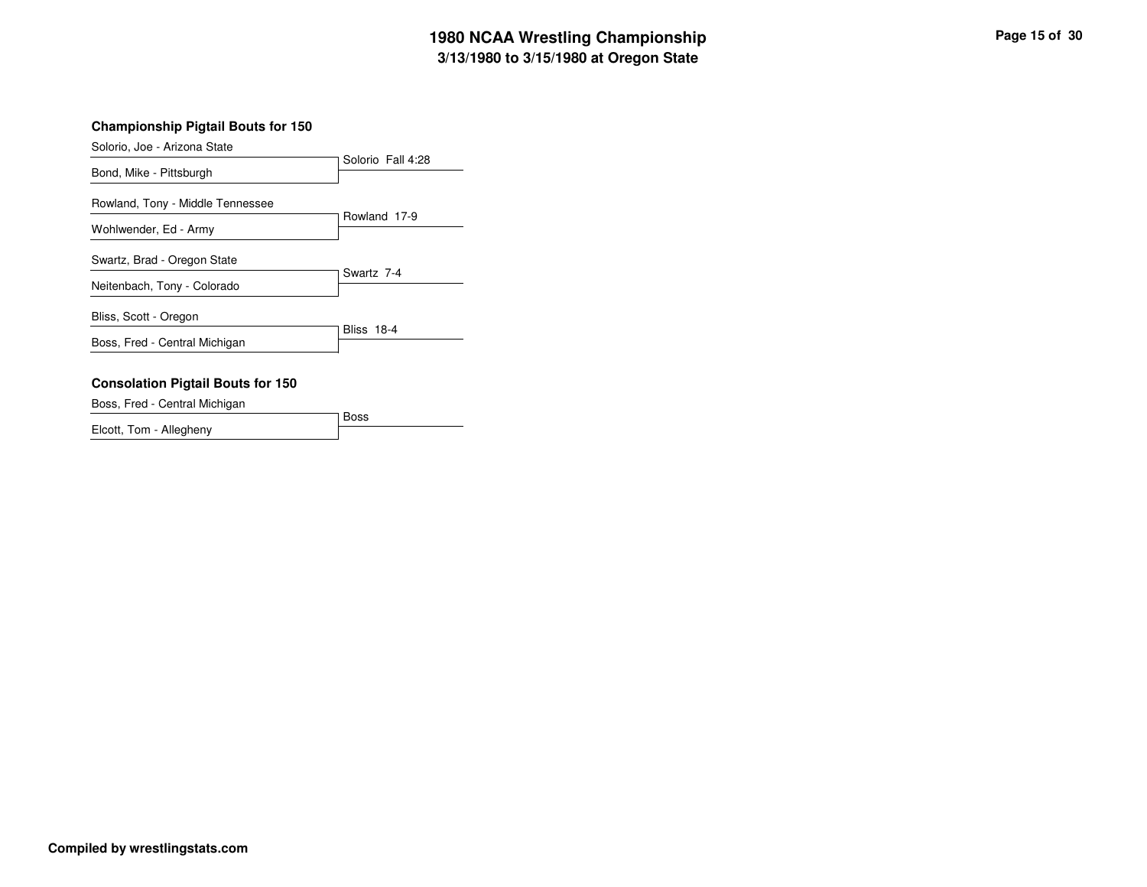## **3/13/1980 to 3/15/1980 at Oregon State 1980 NCAA Wrestling Championship Page <sup>15</sup> of <sup>30</sup>**

#### **Championship Pigtail Bouts for 150**

Solorio, Joe - Arizona State

| Bond, Mike - Pittsburgh                                    | Solorio Fall 4:28 |
|------------------------------------------------------------|-------------------|
| Rowland, Tony - Middle Tennessee<br>Wohlwender, Ed - Army  | Rowland 17-9      |
| Swartz, Brad - Oregon State<br>Neitenbach, Tony - Colorado | Swartz 7-4        |
| Bliss, Scott - Oregon<br>Boss, Fred - Central Michigan     | <b>Bliss 18-4</b> |
| Consolation Pintail Routs for 150                          |                   |

# **Consolation Pigtail Bouts for 150**

BossBoss, Fred - Central Michigan Elcott, Tom - Allegheny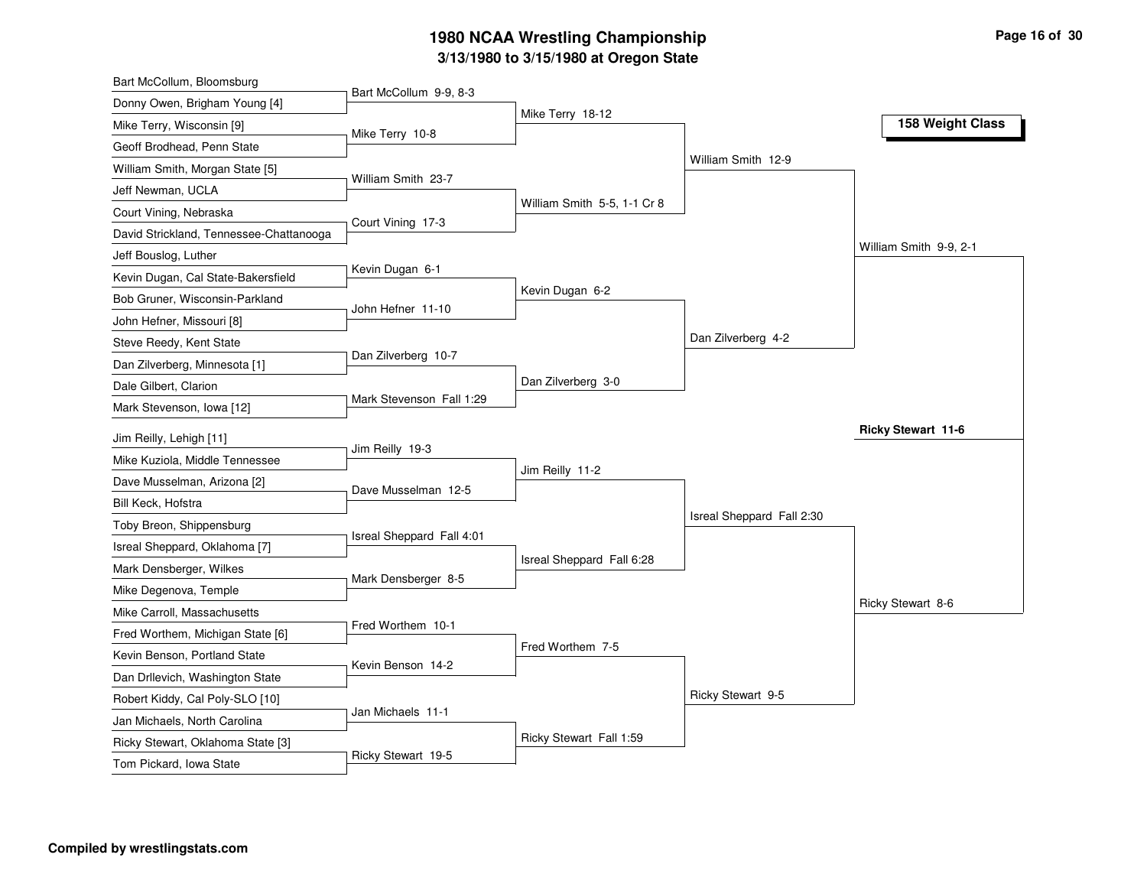# **3/13/1980 to 3/15/1980 at Oregon State 1980 NCAA Wrestling Championship Page <sup>16</sup> of <sup>30</sup>**

| Bart McCollum, Bloomsburg               |                           |                             |                           |                           |
|-----------------------------------------|---------------------------|-----------------------------|---------------------------|---------------------------|
| Donny Owen, Brigham Young [4]           | Bart McCollum 9-9, 8-3    |                             |                           |                           |
| Mike Terry, Wisconsin [9]               | Mike Terry 10-8           | Mike Terry 18-12            |                           | 158 Weight Class          |
| Geoff Brodhead, Penn State              |                           |                             |                           |                           |
| William Smith, Morgan State [5]         |                           |                             | William Smith 12-9        |                           |
| Jeff Newman, UCLA                       | William Smith 23-7        |                             |                           |                           |
| Court Vining, Nebraska                  |                           | William Smith 5-5, 1-1 Cr 8 |                           |                           |
| David Strickland, Tennessee-Chattanooga | Court Vining 17-3         |                             |                           |                           |
| Jeff Bouslog, Luther                    |                           |                             |                           | William Smith 9-9, 2-1    |
| Kevin Dugan, Cal State-Bakersfield      | Kevin Dugan 6-1           |                             |                           |                           |
| Bob Gruner, Wisconsin-Parkland          | John Hefner 11-10         | Kevin Dugan 6-2             |                           |                           |
| John Hefner, Missouri [8]               |                           |                             |                           |                           |
| Steve Reedy, Kent State                 |                           |                             | Dan Zilverberg 4-2        |                           |
| Dan Zilverberg, Minnesota [1]           | Dan Zilverberg 10-7       |                             |                           |                           |
| Dale Gilbert, Clarion                   |                           | Dan Zilverberg 3-0          |                           |                           |
| Mark Stevenson, Iowa [12]               | Mark Stevenson Fall 1:29  |                             |                           |                           |
| Jim Reilly, Lehigh [11]                 |                           |                             |                           | <b>Ricky Stewart 11-6</b> |
| Mike Kuziola, Middle Tennessee          | Jim Reilly 19-3           |                             |                           |                           |
| Dave Musselman, Arizona [2]             |                           | Jim Reilly 11-2             |                           |                           |
| Bill Keck, Hofstra                      | Dave Musselman 12-5       |                             |                           |                           |
| Toby Breon, Shippensburg                |                           |                             | Isreal Sheppard Fall 2:30 |                           |
| Isreal Sheppard, Oklahoma [7]           | Isreal Sheppard Fall 4:01 |                             |                           |                           |
| Mark Densberger, Wilkes                 |                           | Isreal Sheppard Fall 6:28   |                           |                           |
|                                         |                           |                             |                           |                           |
| Mike Degenova, Temple                   | Mark Densberger 8-5       |                             |                           |                           |
| Mike Carroll, Massachusetts             |                           |                             |                           | Ricky Stewart 8-6         |
| Fred Worthem, Michigan State [6]        | Fred Worthem 10-1         |                             |                           |                           |
| Kevin Benson, Portland State            |                           | Fred Worthem 7-5            |                           |                           |
| Dan Drllevich, Washington State         | Kevin Benson 14-2         |                             |                           |                           |
| Robert Kiddy, Cal Poly-SLO [10]         |                           |                             | Ricky Stewart 9-5         |                           |
| Jan Michaels, North Carolina            | Jan Michaels 11-1         |                             |                           |                           |
| Ricky Stewart, Oklahoma State [3]       | Ricky Stewart 19-5        | Ricky Stewart Fall 1:59     |                           |                           |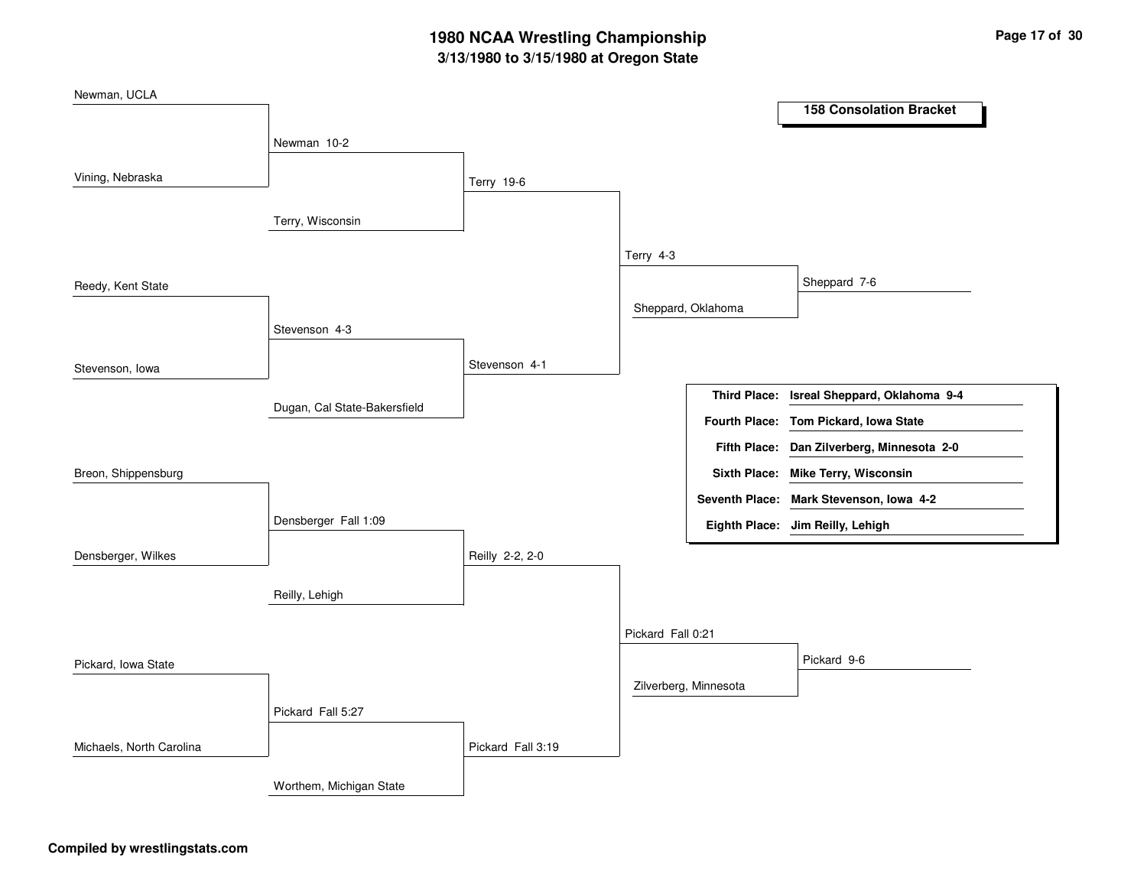# **3/13/1980 to 3/15/1980 at Oregon State 1980 NCAA Wrestling Championship Page <sup>17</sup> of <sup>30</sup>**

| Newman, UCLA             |                              |                   |                   |                       |                                            |  |
|--------------------------|------------------------------|-------------------|-------------------|-----------------------|--------------------------------------------|--|
|                          |                              |                   |                   |                       | <b>158 Consolation Bracket</b>             |  |
|                          | Newman 10-2                  |                   |                   |                       |                                            |  |
|                          |                              |                   |                   |                       |                                            |  |
| Vining, Nebraska         |                              | <b>Terry 19-6</b> |                   |                       |                                            |  |
|                          | Terry, Wisconsin             |                   |                   |                       |                                            |  |
|                          |                              |                   |                   |                       |                                            |  |
|                          |                              |                   | Terry 4-3         |                       |                                            |  |
| Reedy, Kent State        |                              |                   |                   |                       | Sheppard 7-6                               |  |
|                          |                              |                   |                   | Sheppard, Oklahoma    |                                            |  |
|                          | Stevenson 4-3                |                   |                   |                       |                                            |  |
|                          |                              |                   |                   |                       |                                            |  |
| Stevenson, Iowa          |                              | Stevenson 4-1     |                   |                       |                                            |  |
|                          | Dugan, Cal State-Bakersfield |                   |                   | <b>Third Place:</b>   | Isreal Sheppard, Oklahoma 9-4              |  |
|                          |                              |                   |                   |                       | Fourth Place: Tom Pickard, Iowa State      |  |
|                          |                              |                   |                   |                       | Fifth Place: Dan Zilverberg, Minnesota 2-0 |  |
| Breon, Shippensburg      |                              |                   |                   |                       | Sixth Place: Mike Terry, Wisconsin         |  |
|                          |                              |                   |                   |                       | Seventh Place: Mark Stevenson, Iowa 4-2    |  |
|                          | Densberger Fall 1:09         |                   |                   |                       | Eighth Place: Jim Reilly, Lehigh           |  |
|                          |                              |                   |                   |                       |                                            |  |
| Densberger, Wilkes       |                              | Reilly 2-2, 2-0   |                   |                       |                                            |  |
|                          | Reilly, Lehigh               |                   |                   |                       |                                            |  |
|                          |                              |                   |                   |                       |                                            |  |
|                          |                              |                   | Pickard Fall 0:21 |                       |                                            |  |
| Pickard, Iowa State      |                              |                   |                   |                       | Pickard 9-6                                |  |
|                          |                              |                   |                   | Zilverberg, Minnesota |                                            |  |
|                          | Pickard Fall 5:27            |                   |                   |                       |                                            |  |
|                          |                              |                   |                   |                       |                                            |  |
| Michaels, North Carolina |                              | Pickard Fall 3:19 |                   |                       |                                            |  |
|                          | Worthem, Michigan State      |                   |                   |                       |                                            |  |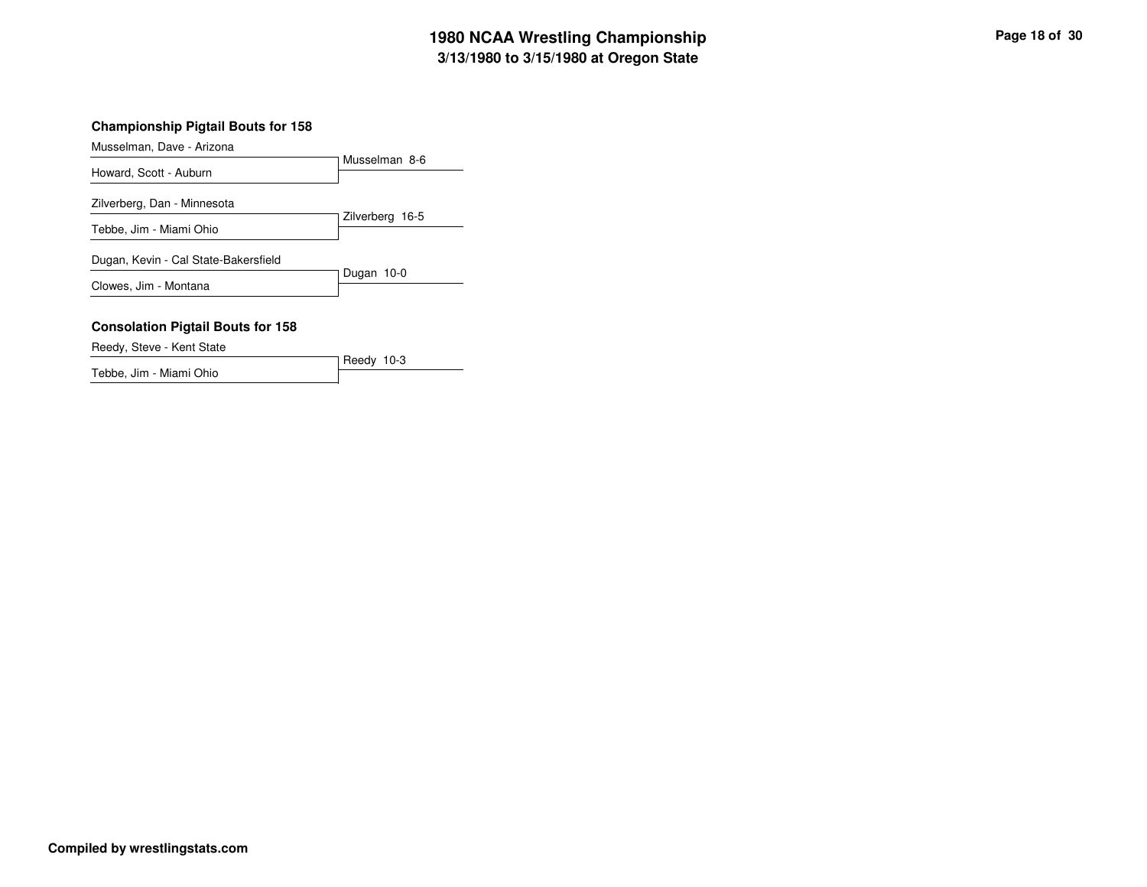## **3/13/1980 to 3/15/1980 at Oregon State 1980 NCAA Wrestling Championship Page <sup>18</sup> of <sup>30</sup>**

#### **Championship Pigtail Bouts for 158**

Musselman, Dave - Arizona

|                                      | Musselman 8-6   |
|--------------------------------------|-----------------|
| Howard, Scott - Auburn               |                 |
| Zilverberg, Dan - Minnesota          |                 |
|                                      | Zilverberg 16-5 |
| Tebbe, Jim - Miami Ohio              |                 |
| Dugan, Kevin - Cal State-Bakersfield |                 |
|                                      | Dugan 10-0      |
| Clowes, Jim - Montana                |                 |
|                                      |                 |

#### **Consolation Pigtail Bouts for 158**

Reedy, Steve - Kent State

Reedy 10-3 Tebbe, Jim - Miami Ohio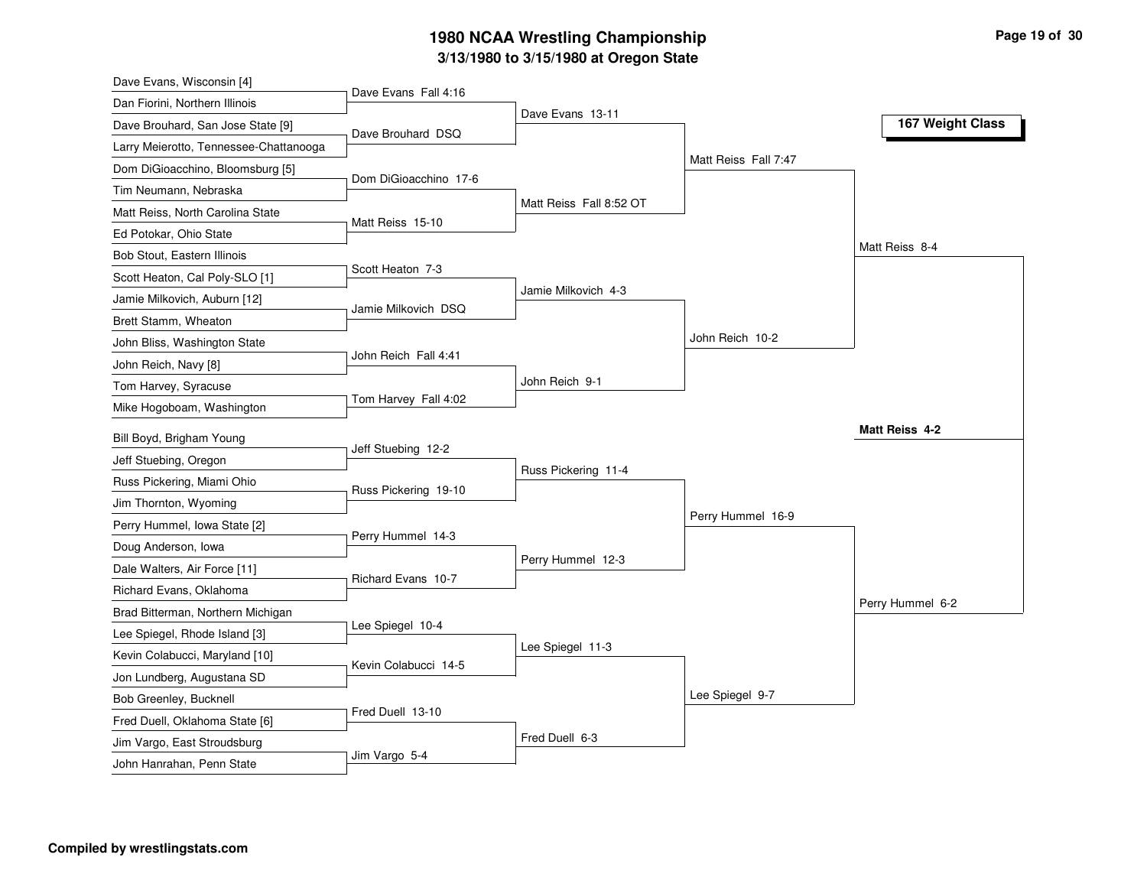# **3/13/1980 to 3/15/1980 at Oregon State 1980 NCAA Wrestling Championship Page <sup>19</sup> of <sup>30</sup>**

| Dave Evans, Wisconsin [4]              |                       |                         |                      |                  |
|----------------------------------------|-----------------------|-------------------------|----------------------|------------------|
| Dan Fiorini, Northern Illinois         | Dave Evans Fall 4:16  |                         |                      |                  |
| Dave Brouhard, San Jose State [9]      | Dave Brouhard DSQ     | Dave Evans 13-11        |                      | 167 Weight Class |
| Larry Meierotto, Tennessee-Chattanooga |                       |                         |                      |                  |
| Dom DiGioacchino, Bloomsburg [5]       |                       |                         | Matt Reiss Fall 7:47 |                  |
| Tim Neumann, Nebraska                  | Dom DiGioacchino 17-6 |                         |                      |                  |
| Matt Reiss, North Carolina State       |                       | Matt Reiss Fall 8:52 OT |                      |                  |
| Ed Potokar, Ohio State                 | Matt Reiss 15-10      |                         |                      |                  |
| Bob Stout, Eastern Illinois            |                       |                         |                      | Matt Reiss 8-4   |
| Scott Heaton, Cal Poly-SLO [1]         | Scott Heaton 7-3      |                         |                      |                  |
| Jamie Milkovich, Auburn [12]           | Jamie Milkovich DSQ   | Jamie Milkovich 4-3     |                      |                  |
| Brett Stamm, Wheaton                   |                       |                         |                      |                  |
| John Bliss, Washington State           |                       |                         | John Reich 10-2      |                  |
| John Reich, Navy [8]                   | John Reich Fall 4:41  |                         |                      |                  |
| Tom Harvey, Syracuse                   |                       | John Reich 9-1          |                      |                  |
| Mike Hogoboam, Washington              | Tom Harvey Fall 4:02  |                         |                      |                  |
| Bill Boyd, Brigham Young               |                       |                         |                      | Matt Reiss 4-2   |
| Jeff Stuebing, Oregon                  | Jeff Stuebing 12-2    |                         |                      |                  |
| Russ Pickering, Miami Ohio             |                       | Russ Pickering 11-4     |                      |                  |
| Jim Thornton, Wyoming                  | Russ Pickering 19-10  |                         |                      |                  |
| Perry Hummel, Iowa State [2]           |                       |                         | Perry Hummel 16-9    |                  |
| Doug Anderson, Iowa                    | Perry Hummel 14-3     |                         |                      |                  |
| Dale Walters, Air Force [11]           |                       | Perry Hummel 12-3       |                      |                  |
| Richard Evans, Oklahoma                | Richard Evans 10-7    |                         |                      |                  |
| Brad Bitterman, Northern Michigan      |                       |                         |                      | Perry Hummel 6-2 |
| Lee Spiegel, Rhode Island [3]          | Lee Spiegel 10-4      |                         |                      |                  |
| Kevin Colabucci, Maryland [10]         |                       | Lee Spiegel 11-3        |                      |                  |
| Jon Lundberg, Augustana SD             | Kevin Colabucci 14-5  |                         |                      |                  |
| Bob Greenley, Bucknell                 |                       |                         | Lee Spiegel 9-7      |                  |
| Fred Duell, Oklahoma State [6]         | Fred Duell 13-10      |                         |                      |                  |
| Jim Vargo, East Stroudsburg            |                       | Fred Duell 6-3          |                      |                  |
| John Hanrahan, Penn State              | Jim Vargo 5-4         |                         |                      |                  |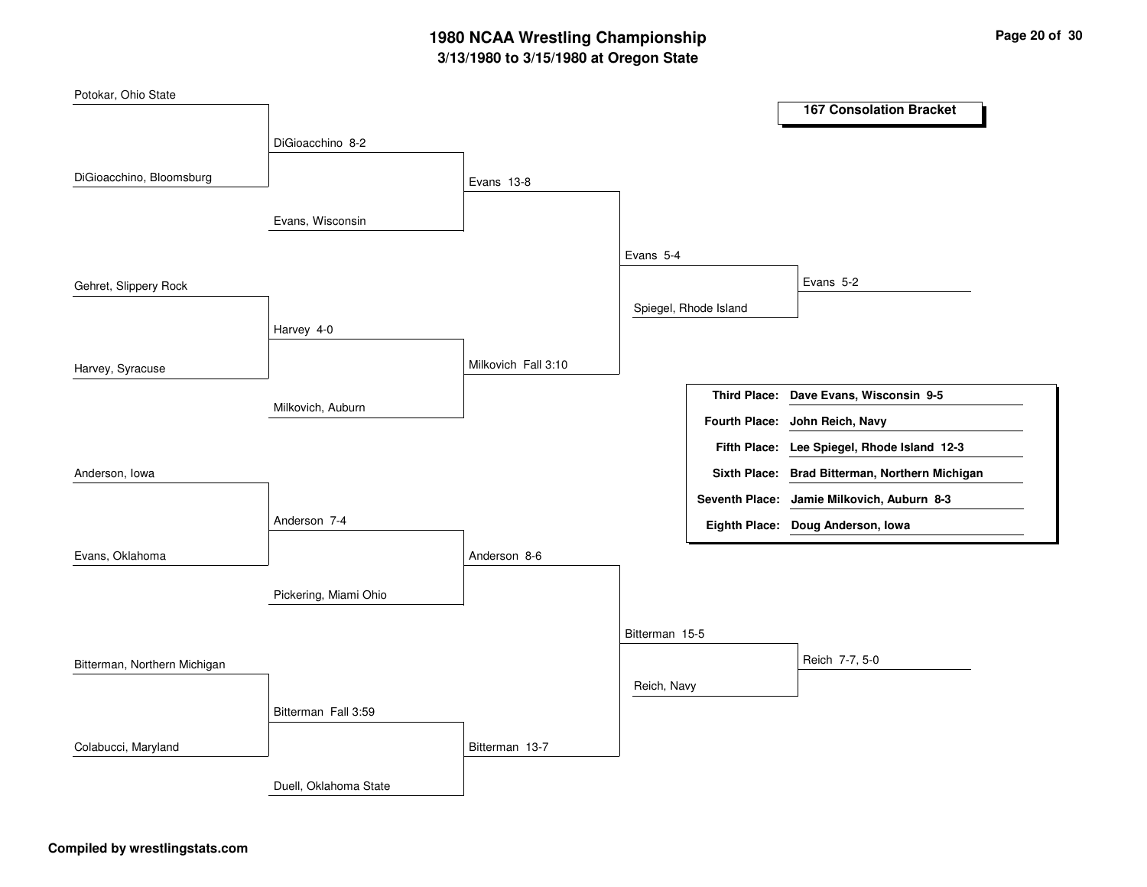# **3/13/1980 to 3/15/1980 at Oregon State 1980 NCAA Wrestling Championship Page <sup>20</sup> of <sup>30</sup>**

| Potokar, Ohio State          |                       |                     |                |                       |                                                |
|------------------------------|-----------------------|---------------------|----------------|-----------------------|------------------------------------------------|
|                              |                       |                     |                |                       | <b>167 Consolation Bracket</b>                 |
|                              | DiGioacchino 8-2      |                     |                |                       |                                                |
|                              |                       |                     |                |                       |                                                |
| DiGioacchino, Bloomsburg     |                       | Evans 13-8          |                |                       |                                                |
|                              |                       |                     |                |                       |                                                |
|                              | Evans, Wisconsin      |                     |                |                       |                                                |
|                              |                       |                     | Evans 5-4      |                       |                                                |
| Gehret, Slippery Rock        |                       |                     |                |                       | Evans 5-2                                      |
|                              |                       |                     |                | Spiegel, Rhode Island |                                                |
|                              | Harvey 4-0            |                     |                |                       |                                                |
|                              |                       |                     |                |                       |                                                |
| Harvey, Syracuse             |                       | Milkovich Fall 3:10 |                |                       |                                                |
|                              |                       |                     |                |                       | Third Place: Dave Evans, Wisconsin 9-5         |
|                              | Milkovich, Auburn     |                     |                | <b>Fourth Place:</b>  | John Reich, Navy                               |
|                              |                       |                     |                |                       | Fifth Place: Lee Spiegel, Rhode Island 12-3    |
|                              |                       |                     |                |                       |                                                |
| Anderson, Iowa               |                       |                     |                |                       | Sixth Place: Brad Bitterman, Northern Michigan |
|                              |                       |                     |                |                       | Seventh Place: Jamie Milkovich, Auburn 8-3     |
|                              | Anderson 7-4          |                     |                |                       | Eighth Place: Doug Anderson, Iowa              |
| Evans, Oklahoma              |                       | Anderson 8-6        |                |                       |                                                |
|                              |                       |                     |                |                       |                                                |
|                              | Pickering, Miami Ohio |                     |                |                       |                                                |
|                              |                       |                     |                |                       |                                                |
|                              |                       |                     | Bitterman 15-5 |                       |                                                |
| Bitterman, Northern Michigan |                       |                     |                |                       | Reich 7-7, 5-0                                 |
|                              |                       |                     | Reich, Navy    |                       |                                                |
|                              | Bitterman Fall 3:59   |                     |                |                       |                                                |
|                              |                       |                     |                |                       |                                                |
| Colabucci, Maryland          |                       | Bitterman 13-7      |                |                       |                                                |
|                              | Duell, Oklahoma State |                     |                |                       |                                                |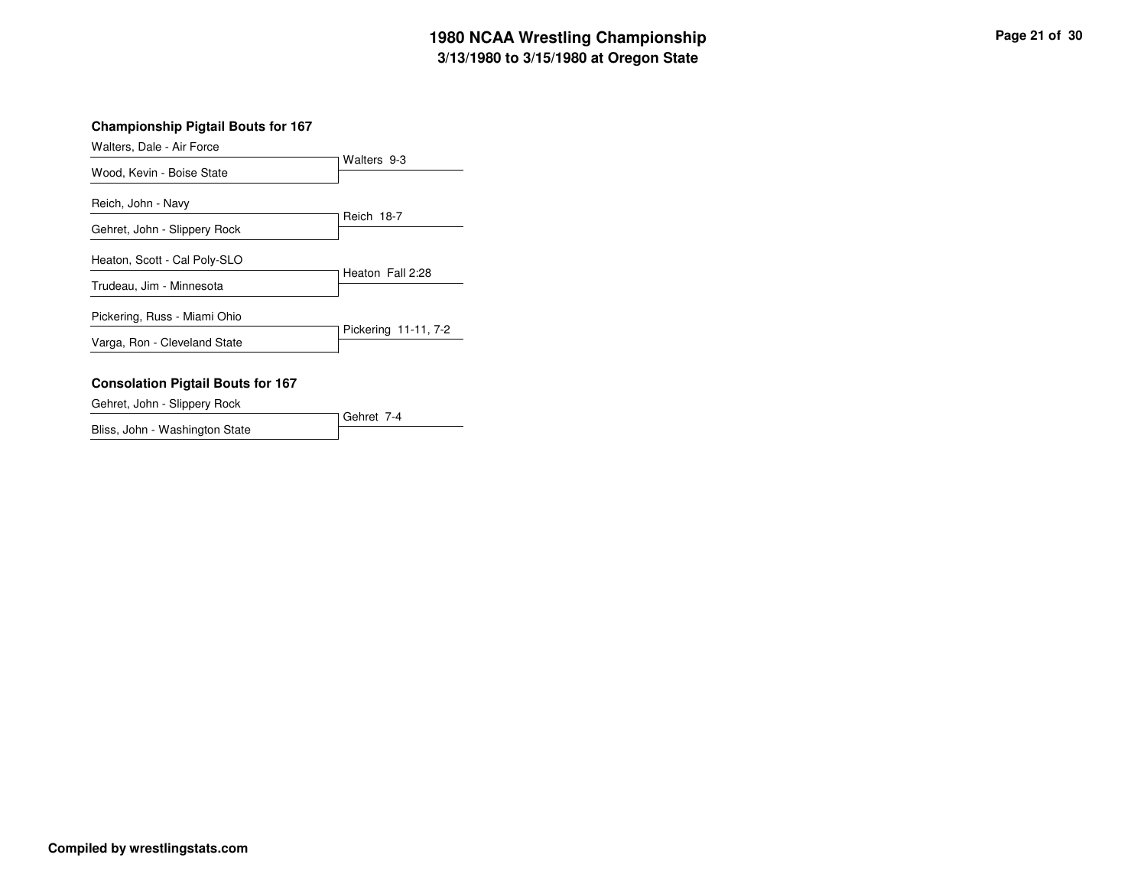# **3/13/1980 to 3/15/1980 at Oregon State 1980 NCAA Wrestling Championship Page <sup>21</sup> of <sup>30</sup>**

#### **Championship Pigtail Bouts for 167**

| Walters, Dale - Air Force    |                      |
|------------------------------|----------------------|
| Wood, Kevin - Boise State    | Walters 9-3          |
| Reich, John - Navy           |                      |
| Gehret, John - Slippery Rock | Reich 18-7           |
| Heaton, Scott - Cal Poly-SLO |                      |
| Trudeau, Jim - Minnesota     | Heaton Fall 2:28     |
| Pickering, Russ - Miami Ohio |                      |
| Varga, Ron - Cleveland State | Pickering 11-11, 7-2 |
|                              |                      |

#### **Consolation Pigtail Bouts for 167**

Gehret, John - Slippery Rock

Gehret 7-4 Bliss, John - Washington State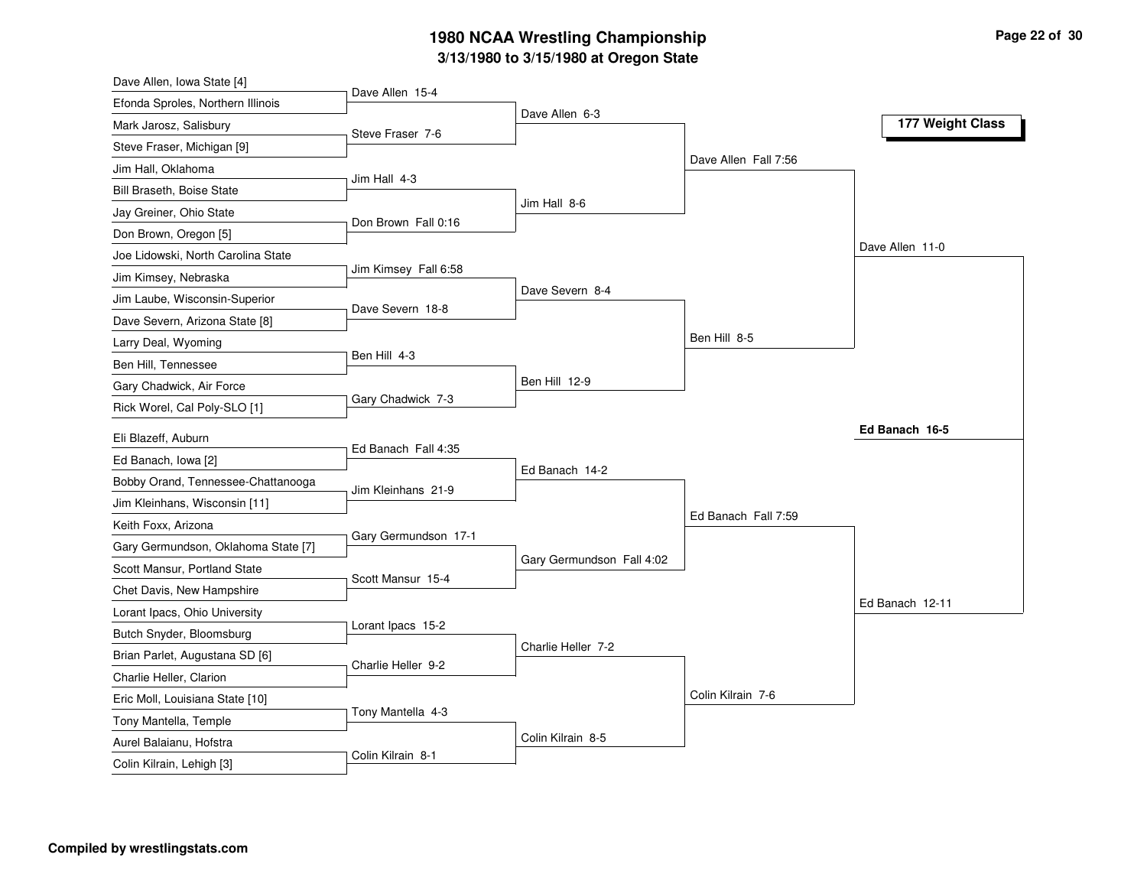# **3/13/1980 to 3/15/1980 at Oregon State 1980 NCAA Wrestling Championship Page <sup>22</sup> of <sup>30</sup>**

| Dave Allen, Iowa State [4]          |                      |                           |                      |                  |
|-------------------------------------|----------------------|---------------------------|----------------------|------------------|
| Efonda Sproles, Northern Illinois   | Dave Allen 15-4      |                           |                      |                  |
| Mark Jarosz, Salisbury              | Steve Fraser 7-6     | Dave Allen 6-3            |                      | 177 Weight Class |
| Steve Fraser, Michigan [9]          |                      |                           |                      |                  |
| Jim Hall, Oklahoma                  |                      |                           | Dave Allen Fall 7:56 |                  |
| Bill Braseth, Boise State           | Jim Hall 4-3         |                           |                      |                  |
| Jay Greiner, Ohio State             |                      | Jim Hall 8-6              |                      |                  |
| Don Brown, Oregon [5]               | Don Brown Fall 0:16  |                           |                      |                  |
| Joe Lidowski, North Carolina State  |                      |                           |                      | Dave Allen 11-0  |
| Jim Kimsey, Nebraska                | Jim Kimsey Fall 6:58 |                           |                      |                  |
| Jim Laube, Wisconsin-Superior       |                      | Dave Severn 8-4           |                      |                  |
| Dave Severn, Arizona State [8]      | Dave Severn 18-8     |                           |                      |                  |
| Larry Deal, Wyoming                 |                      |                           | Ben Hill 8-5         |                  |
| Ben Hill, Tennessee                 | Ben Hill 4-3         |                           |                      |                  |
| Gary Chadwick, Air Force            |                      | Ben Hill 12-9             |                      |                  |
| Rick Worel, Cal Poly-SLO [1]        | Gary Chadwick 7-3    |                           |                      |                  |
| Eli Blazeff, Auburn                 |                      |                           |                      | Ed Banach 16-5   |
| Ed Banach, Iowa [2]                 | Ed Banach Fall 4:35  |                           |                      |                  |
| Bobby Orand, Tennessee-Chattanooga  |                      | Ed Banach 14-2            |                      |                  |
| Jim Kleinhans, Wisconsin [11]       | Jim Kleinhans 21-9   |                           |                      |                  |
| Keith Foxx, Arizona                 |                      |                           | Ed Banach Fall 7:59  |                  |
| Gary Germundson, Oklahoma State [7] | Gary Germundson 17-1 |                           |                      |                  |
| Scott Mansur, Portland State        |                      | Gary Germundson Fall 4:02 |                      |                  |
| Chet Davis, New Hampshire           | Scott Mansur 15-4    |                           |                      |                  |
| Lorant Ipacs, Ohio University       |                      |                           |                      | Ed Banach 12-11  |
| Butch Snyder, Bloomsburg            | Lorant Ipacs 15-2    |                           |                      |                  |
| Brian Parlet, Augustana SD [6]      |                      | Charlie Heller 7-2        |                      |                  |
| Charlie Heller, Clarion             | Charlie Heller 9-2   |                           |                      |                  |
| Eric Moll, Louisiana State [10]     |                      |                           | Colin Kilrain 7-6    |                  |
| Tony Mantella, Temple               | Tony Mantella 4-3    |                           |                      |                  |
| Aurel Balaianu, Hofstra             |                      | Colin Kilrain 8-5         |                      |                  |
| Colin Kilrain, Lehigh [3]           | Colin Kilrain 8-1    |                           |                      |                  |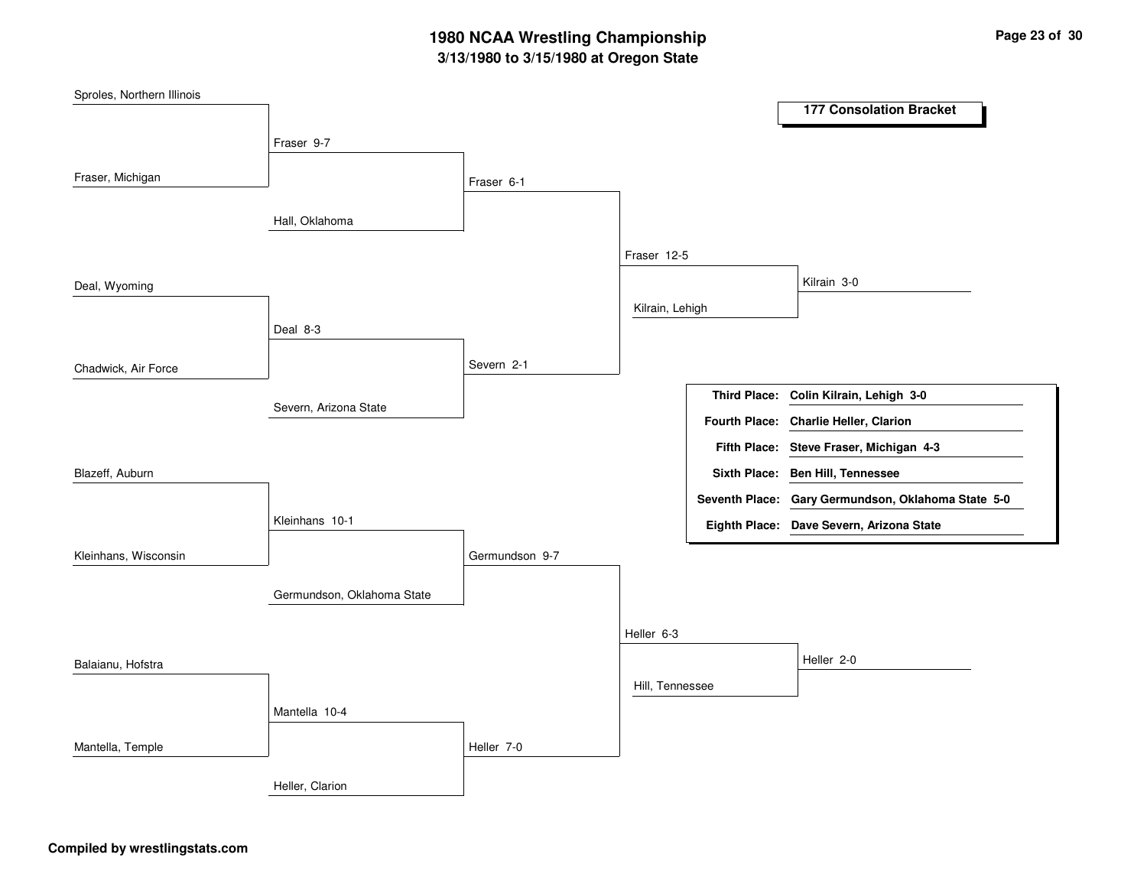# **3/13/1980 to 3/15/1980 at Oregon State 1980 NCAA Wrestling Championship Page <sup>23</sup> of <sup>30</sup>**

| Sproles, Northern Illinois |                            |                |                 |                      |                                                    |
|----------------------------|----------------------------|----------------|-----------------|----------------------|----------------------------------------------------|
|                            |                            |                |                 |                      | <b>177 Consolation Bracket</b>                     |
|                            | Fraser 9-7                 |                |                 |                      |                                                    |
|                            |                            |                |                 |                      |                                                    |
| Fraser, Michigan           |                            | Fraser 6-1     |                 |                      |                                                    |
|                            | Hall, Oklahoma             |                |                 |                      |                                                    |
|                            |                            |                |                 |                      |                                                    |
|                            |                            |                | Fraser 12-5     |                      |                                                    |
| Deal, Wyoming              |                            |                |                 |                      | Kilrain 3-0                                        |
|                            |                            |                | Kilrain, Lehigh |                      |                                                    |
|                            | Deal 8-3                   |                |                 |                      |                                                    |
|                            |                            |                |                 |                      |                                                    |
| Chadwick, Air Force        |                            | Severn 2-1     |                 |                      |                                                    |
|                            | Severn, Arizona State      |                |                 |                      | Third Place: Colin Kilrain, Lehigh 3-0             |
|                            |                            |                |                 | <b>Fourth Place:</b> | <b>Charlie Heller, Clarion</b>                     |
|                            |                            |                |                 | <b>Fifth Place:</b>  | Steve Fraser, Michigan 4-3                         |
| Blazeff, Auburn            |                            |                |                 |                      | Sixth Place: Ben Hill, Tennessee                   |
|                            |                            |                |                 |                      | Seventh Place: Gary Germundson, Oklahoma State 5-0 |
|                            | Kleinhans 10-1             |                |                 |                      | Eighth Place: Dave Severn, Arizona State           |
|                            |                            |                |                 |                      |                                                    |
| Kleinhans, Wisconsin       |                            | Germundson 9-7 |                 |                      |                                                    |
|                            | Germundson, Oklahoma State |                |                 |                      |                                                    |
|                            |                            |                |                 |                      |                                                    |
|                            |                            |                | Heller 6-3      |                      |                                                    |
| Balaianu, Hofstra          |                            |                |                 |                      | Heller 2-0                                         |
|                            |                            |                | Hill, Tennessee |                      |                                                    |
|                            | Mantella 10-4              |                |                 |                      |                                                    |
|                            |                            |                |                 |                      |                                                    |
| Mantella, Temple           |                            | Heller 7-0     |                 |                      |                                                    |
|                            | Heller, Clarion            |                |                 |                      |                                                    |
|                            |                            |                |                 |                      |                                                    |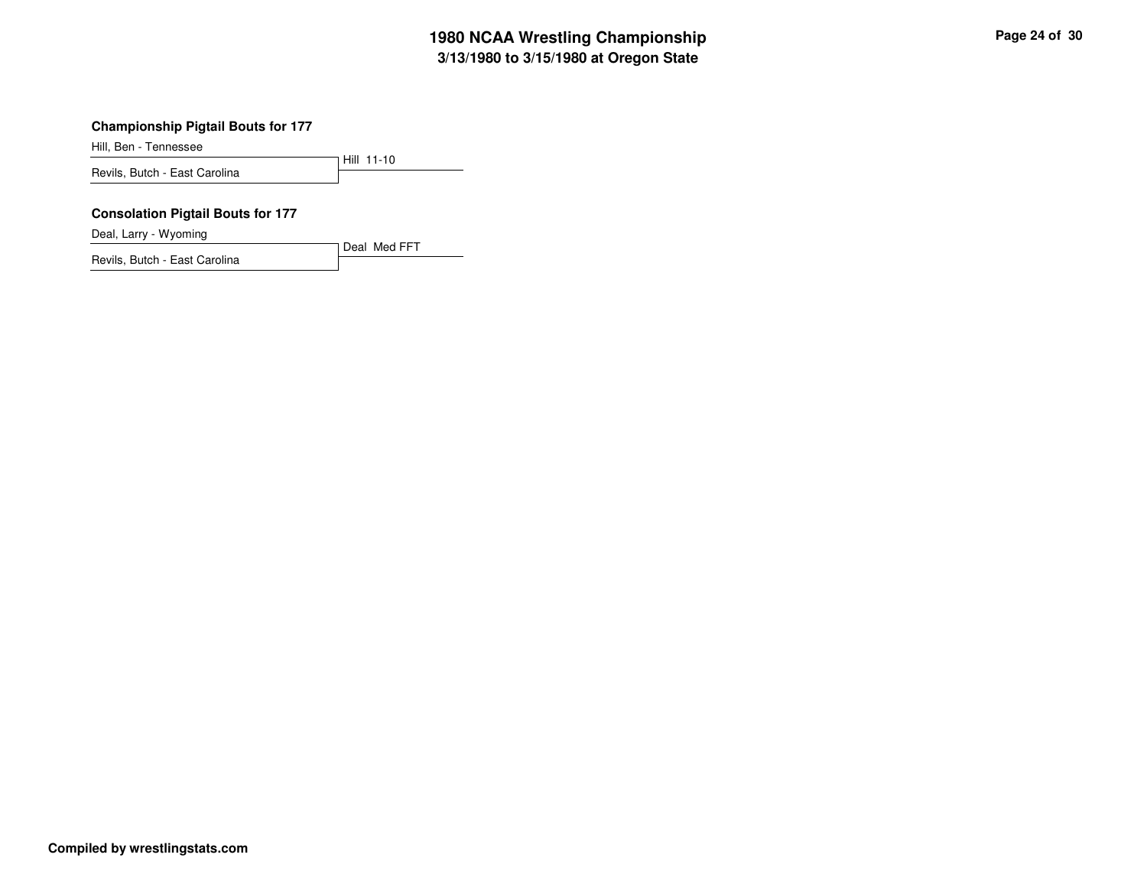# **3/13/1980 to 3/15/1980 at Oregon State 1980 NCAA Wrestling Championship Page <sup>24</sup> of <sup>30</sup>**

Hill, Ben - Tennessee

Hill 11-10 Revils, Butch - East Carolina

#### **Consolation Pigtail Bouts for 177**

Deal, Larry - Wyoming

Revils, Butch - East Carolina

Deal Med FFT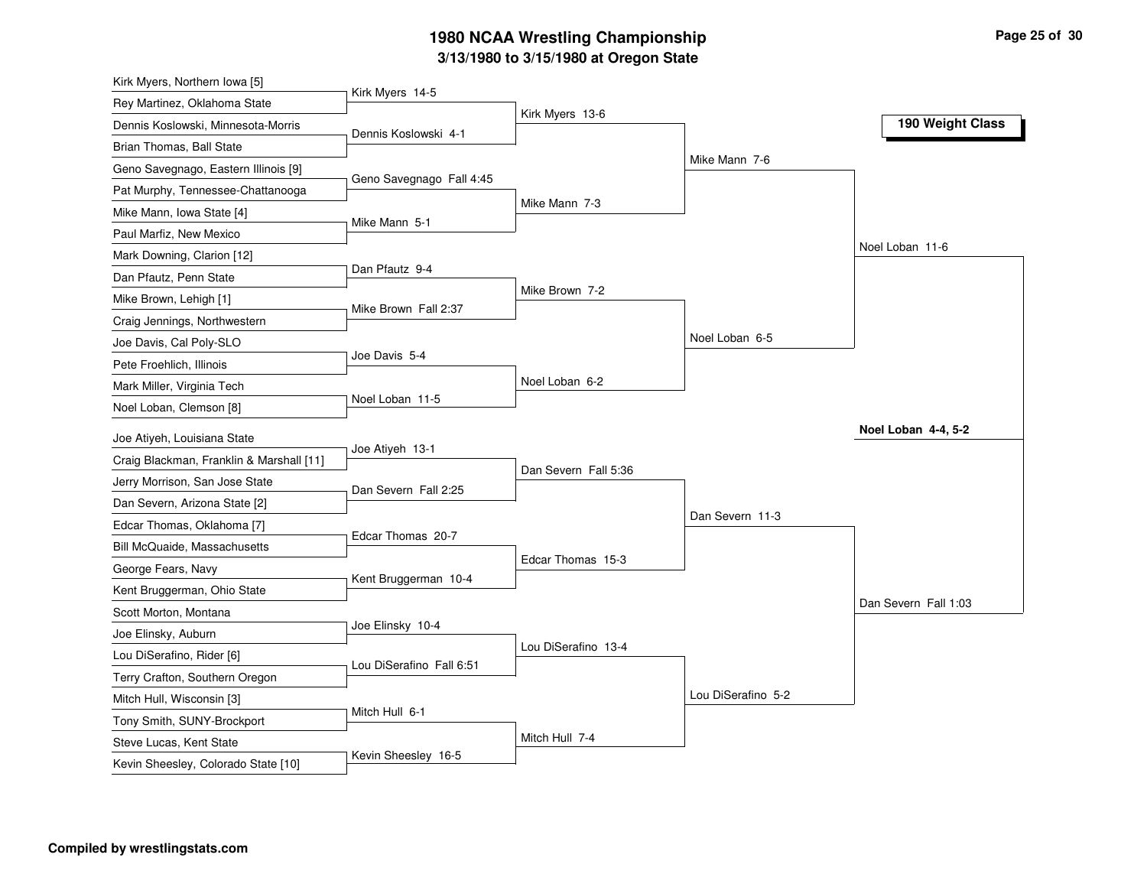# **3/13/1980 to 3/15/1980 at Oregon State 1980 NCAA Wrestling Championship Page <sup>25</sup> of <sup>30</sup>**

| Kirk Myers 14-5<br>Rey Martinez, Oklahoma State<br>Kirk Myers 13-6<br>190 Weight Class<br>Dennis Koslowski, Minnesota-Morris<br>Dennis Koslowski 4-1<br>Brian Thomas, Ball State<br>Mike Mann 7-6<br>Geno Savegnago, Eastern Illinois [9]<br>Geno Savegnago Fall 4:45<br>Pat Murphy, Tennessee-Chattanooga<br>Mike Mann 7-3<br>Mike Mann, Iowa State [4]<br>Mike Mann 5-1<br>Paul Marfiz, New Mexico<br>Noel Loban 11-6<br>Mark Downing, Clarion [12]<br>Dan Pfautz 9-4<br>Dan Pfautz, Penn State<br>Mike Brown 7-2<br>Mike Brown, Lehigh [1]<br>Mike Brown Fall 2:37<br>Craig Jennings, Northwestern<br>Noel Loban 6-5<br>Joe Davis, Cal Poly-SLO<br>Joe Davis 5-4<br>Pete Froehlich, Illinois<br>Noel Loban 6-2<br>Mark Miller, Virginia Tech<br>Noel Loban 11-5<br>Noel Loban, Clemson [8]<br>Noel Loban 4-4, 5-2<br>Joe Atiyeh, Louisiana State<br>Joe Atiyeh 13-1<br>Craig Blackman, Franklin & Marshall [11]<br>Dan Severn Fall 5:36<br>Jerry Morrison, San Jose State<br>Dan Severn Fall 2:25<br>Dan Severn, Arizona State [2]<br>Dan Severn 11-3<br>Edcar Thomas, Oklahoma [7]<br>Edcar Thomas 20-7<br><b>Bill McQuaide, Massachusetts</b><br>Edcar Thomas 15-3<br>George Fears, Navy<br>Kent Bruggerman 10-4<br>Kent Bruggerman, Ohio State<br>Dan Severn Fall 1:03<br>Scott Morton, Montana<br>Joe Elinsky 10-4<br>Joe Elinsky, Auburn<br>Lou DiSerafino 13-4<br>Lou DiSerafino, Rider [6]<br>Lou DiSerafino Fall 6:51<br>Terry Crafton, Southern Oregon<br>Lou DiSerafino 5-2<br>Mitch Hull, Wisconsin [3]<br>Mitch Hull 6-1<br>Tony Smith, SUNY-Brockport | Kirk Myers, Northern Iowa [5] |                |  |
|-----------------------------------------------------------------------------------------------------------------------------------------------------------------------------------------------------------------------------------------------------------------------------------------------------------------------------------------------------------------------------------------------------------------------------------------------------------------------------------------------------------------------------------------------------------------------------------------------------------------------------------------------------------------------------------------------------------------------------------------------------------------------------------------------------------------------------------------------------------------------------------------------------------------------------------------------------------------------------------------------------------------------------------------------------------------------------------------------------------------------------------------------------------------------------------------------------------------------------------------------------------------------------------------------------------------------------------------------------------------------------------------------------------------------------------------------------------------------------------------------------------------------------------------------------------------------|-------------------------------|----------------|--|
|                                                                                                                                                                                                                                                                                                                                                                                                                                                                                                                                                                                                                                                                                                                                                                                                                                                                                                                                                                                                                                                                                                                                                                                                                                                                                                                                                                                                                                                                                                                                                                       |                               |                |  |
|                                                                                                                                                                                                                                                                                                                                                                                                                                                                                                                                                                                                                                                                                                                                                                                                                                                                                                                                                                                                                                                                                                                                                                                                                                                                                                                                                                                                                                                                                                                                                                       |                               |                |  |
|                                                                                                                                                                                                                                                                                                                                                                                                                                                                                                                                                                                                                                                                                                                                                                                                                                                                                                                                                                                                                                                                                                                                                                                                                                                                                                                                                                                                                                                                                                                                                                       |                               |                |  |
|                                                                                                                                                                                                                                                                                                                                                                                                                                                                                                                                                                                                                                                                                                                                                                                                                                                                                                                                                                                                                                                                                                                                                                                                                                                                                                                                                                                                                                                                                                                                                                       |                               |                |  |
|                                                                                                                                                                                                                                                                                                                                                                                                                                                                                                                                                                                                                                                                                                                                                                                                                                                                                                                                                                                                                                                                                                                                                                                                                                                                                                                                                                                                                                                                                                                                                                       |                               |                |  |
|                                                                                                                                                                                                                                                                                                                                                                                                                                                                                                                                                                                                                                                                                                                                                                                                                                                                                                                                                                                                                                                                                                                                                                                                                                                                                                                                                                                                                                                                                                                                                                       |                               |                |  |
|                                                                                                                                                                                                                                                                                                                                                                                                                                                                                                                                                                                                                                                                                                                                                                                                                                                                                                                                                                                                                                                                                                                                                                                                                                                                                                                                                                                                                                                                                                                                                                       |                               |                |  |
|                                                                                                                                                                                                                                                                                                                                                                                                                                                                                                                                                                                                                                                                                                                                                                                                                                                                                                                                                                                                                                                                                                                                                                                                                                                                                                                                                                                                                                                                                                                                                                       |                               |                |  |
|                                                                                                                                                                                                                                                                                                                                                                                                                                                                                                                                                                                                                                                                                                                                                                                                                                                                                                                                                                                                                                                                                                                                                                                                                                                                                                                                                                                                                                                                                                                                                                       |                               |                |  |
|                                                                                                                                                                                                                                                                                                                                                                                                                                                                                                                                                                                                                                                                                                                                                                                                                                                                                                                                                                                                                                                                                                                                                                                                                                                                                                                                                                                                                                                                                                                                                                       |                               |                |  |
|                                                                                                                                                                                                                                                                                                                                                                                                                                                                                                                                                                                                                                                                                                                                                                                                                                                                                                                                                                                                                                                                                                                                                                                                                                                                                                                                                                                                                                                                                                                                                                       |                               |                |  |
|                                                                                                                                                                                                                                                                                                                                                                                                                                                                                                                                                                                                                                                                                                                                                                                                                                                                                                                                                                                                                                                                                                                                                                                                                                                                                                                                                                                                                                                                                                                                                                       |                               |                |  |
|                                                                                                                                                                                                                                                                                                                                                                                                                                                                                                                                                                                                                                                                                                                                                                                                                                                                                                                                                                                                                                                                                                                                                                                                                                                                                                                                                                                                                                                                                                                                                                       |                               |                |  |
|                                                                                                                                                                                                                                                                                                                                                                                                                                                                                                                                                                                                                                                                                                                                                                                                                                                                                                                                                                                                                                                                                                                                                                                                                                                                                                                                                                                                                                                                                                                                                                       |                               |                |  |
|                                                                                                                                                                                                                                                                                                                                                                                                                                                                                                                                                                                                                                                                                                                                                                                                                                                                                                                                                                                                                                                                                                                                                                                                                                                                                                                                                                                                                                                                                                                                                                       |                               |                |  |
|                                                                                                                                                                                                                                                                                                                                                                                                                                                                                                                                                                                                                                                                                                                                                                                                                                                                                                                                                                                                                                                                                                                                                                                                                                                                                                                                                                                                                                                                                                                                                                       |                               |                |  |
|                                                                                                                                                                                                                                                                                                                                                                                                                                                                                                                                                                                                                                                                                                                                                                                                                                                                                                                                                                                                                                                                                                                                                                                                                                                                                                                                                                                                                                                                                                                                                                       |                               |                |  |
|                                                                                                                                                                                                                                                                                                                                                                                                                                                                                                                                                                                                                                                                                                                                                                                                                                                                                                                                                                                                                                                                                                                                                                                                                                                                                                                                                                                                                                                                                                                                                                       |                               |                |  |
|                                                                                                                                                                                                                                                                                                                                                                                                                                                                                                                                                                                                                                                                                                                                                                                                                                                                                                                                                                                                                                                                                                                                                                                                                                                                                                                                                                                                                                                                                                                                                                       |                               |                |  |
|                                                                                                                                                                                                                                                                                                                                                                                                                                                                                                                                                                                                                                                                                                                                                                                                                                                                                                                                                                                                                                                                                                                                                                                                                                                                                                                                                                                                                                                                                                                                                                       |                               |                |  |
|                                                                                                                                                                                                                                                                                                                                                                                                                                                                                                                                                                                                                                                                                                                                                                                                                                                                                                                                                                                                                                                                                                                                                                                                                                                                                                                                                                                                                                                                                                                                                                       |                               |                |  |
|                                                                                                                                                                                                                                                                                                                                                                                                                                                                                                                                                                                                                                                                                                                                                                                                                                                                                                                                                                                                                                                                                                                                                                                                                                                                                                                                                                                                                                                                                                                                                                       |                               |                |  |
|                                                                                                                                                                                                                                                                                                                                                                                                                                                                                                                                                                                                                                                                                                                                                                                                                                                                                                                                                                                                                                                                                                                                                                                                                                                                                                                                                                                                                                                                                                                                                                       |                               |                |  |
|                                                                                                                                                                                                                                                                                                                                                                                                                                                                                                                                                                                                                                                                                                                                                                                                                                                                                                                                                                                                                                                                                                                                                                                                                                                                                                                                                                                                                                                                                                                                                                       |                               |                |  |
|                                                                                                                                                                                                                                                                                                                                                                                                                                                                                                                                                                                                                                                                                                                                                                                                                                                                                                                                                                                                                                                                                                                                                                                                                                                                                                                                                                                                                                                                                                                                                                       |                               |                |  |
|                                                                                                                                                                                                                                                                                                                                                                                                                                                                                                                                                                                                                                                                                                                                                                                                                                                                                                                                                                                                                                                                                                                                                                                                                                                                                                                                                                                                                                                                                                                                                                       |                               |                |  |
|                                                                                                                                                                                                                                                                                                                                                                                                                                                                                                                                                                                                                                                                                                                                                                                                                                                                                                                                                                                                                                                                                                                                                                                                                                                                                                                                                                                                                                                                                                                                                                       |                               |                |  |
|                                                                                                                                                                                                                                                                                                                                                                                                                                                                                                                                                                                                                                                                                                                                                                                                                                                                                                                                                                                                                                                                                                                                                                                                                                                                                                                                                                                                                                                                                                                                                                       |                               |                |  |
|                                                                                                                                                                                                                                                                                                                                                                                                                                                                                                                                                                                                                                                                                                                                                                                                                                                                                                                                                                                                                                                                                                                                                                                                                                                                                                                                                                                                                                                                                                                                                                       |                               |                |  |
|                                                                                                                                                                                                                                                                                                                                                                                                                                                                                                                                                                                                                                                                                                                                                                                                                                                                                                                                                                                                                                                                                                                                                                                                                                                                                                                                                                                                                                                                                                                                                                       | Steve Lucas, Kent State       | Mitch Hull 7-4 |  |
| Kevin Sheesley 16-5<br>Kevin Sheesley, Colorado State [10]                                                                                                                                                                                                                                                                                                                                                                                                                                                                                                                                                                                                                                                                                                                                                                                                                                                                                                                                                                                                                                                                                                                                                                                                                                                                                                                                                                                                                                                                                                            |                               |                |  |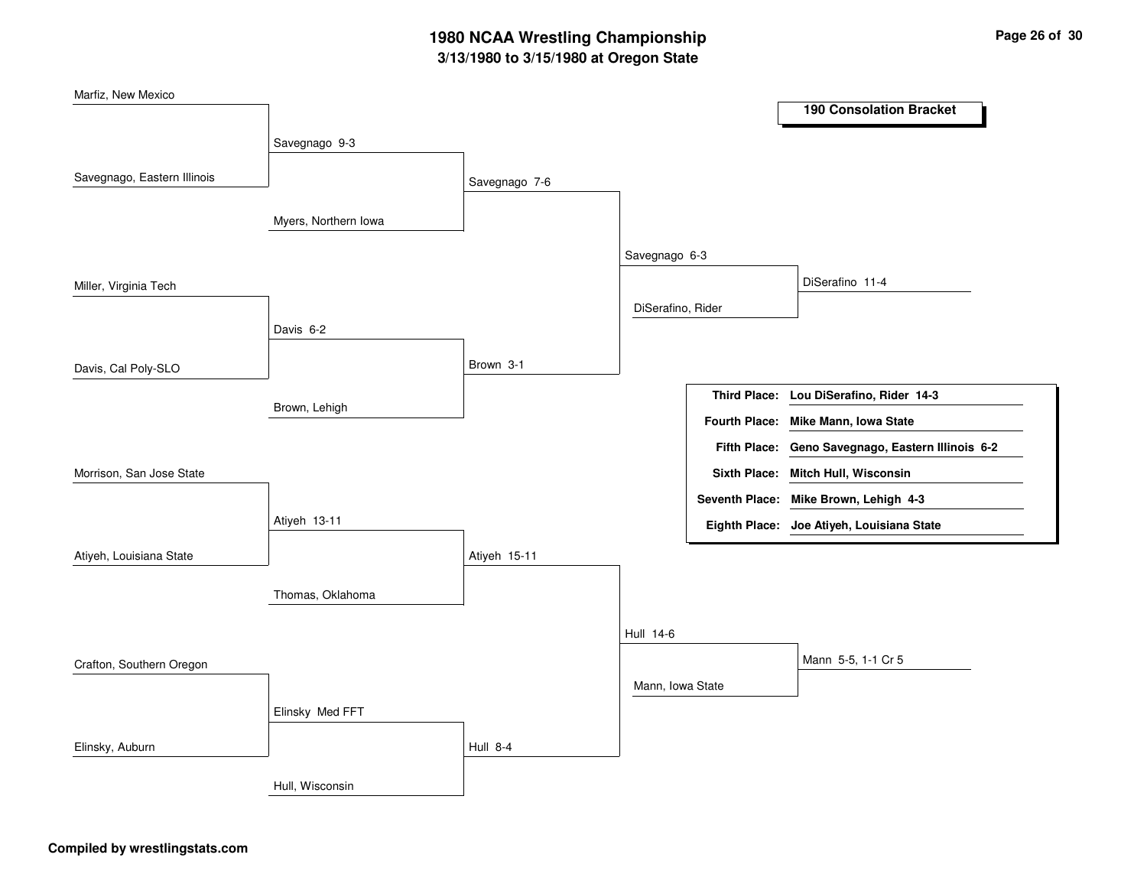# **3/13/1980 to 3/15/1980 at Oregon State 1980 NCAA Wrestling Championship Page <sup>26</sup> of <sup>30</sup>**

| Marfiz, New Mexico          |                      |                 |                   |                       | <b>190 Consolation Bracket</b>                    |
|-----------------------------|----------------------|-----------------|-------------------|-----------------------|---------------------------------------------------|
|                             |                      |                 |                   |                       |                                                   |
|                             | Savegnago 9-3        |                 |                   |                       |                                                   |
| Savegnago, Eastern Illinois |                      | Savegnago 7-6   |                   |                       |                                                   |
|                             |                      |                 |                   |                       |                                                   |
|                             | Myers, Northern Iowa |                 |                   |                       |                                                   |
|                             |                      |                 | Savegnago 6-3     |                       |                                                   |
| Miller, Virginia Tech       |                      |                 |                   |                       | DiSerafino 11-4                                   |
|                             |                      |                 | DiSerafino, Rider |                       |                                                   |
|                             | Davis 6-2            |                 |                   |                       |                                                   |
| Davis, Cal Poly-SLO         |                      | Brown 3-1       |                   |                       |                                                   |
|                             |                      |                 |                   |                       | Third Place: Lou DiSerafino, Rider 14-3           |
|                             | Brown, Lehigh        |                 |                   |                       | Fourth Place: Mike Mann, Iowa State               |
|                             |                      |                 |                   |                       | Fifth Place: Geno Savegnago, Eastern Illinois 6-2 |
| Morrison, San Jose State    |                      |                 |                   |                       | Sixth Place: Mitch Hull, Wisconsin                |
|                             |                      |                 |                   | <b>Seventh Place:</b> | Mike Brown, Lehigh 4-3                            |
|                             | Atiyeh 13-11         |                 |                   |                       | Eighth Place: Joe Atiyeh, Louisiana State         |
| Atiyeh, Louisiana State     |                      | Atiyeh 15-11    |                   |                       |                                                   |
|                             |                      |                 |                   |                       |                                                   |
|                             | Thomas, Oklahoma     |                 |                   |                       |                                                   |
|                             |                      |                 | Hull 14-6         |                       |                                                   |
| Crafton, Southern Oregon    |                      |                 |                   |                       | Mann 5-5, 1-1 Cr 5                                |
|                             |                      |                 | Mann, Iowa State  |                       |                                                   |
|                             | Elinsky Med FFT      |                 |                   |                       |                                                   |
| Elinsky, Auburn             |                      | <b>Hull 8-4</b> |                   |                       |                                                   |
|                             |                      |                 |                   |                       |                                                   |
|                             | Hull, Wisconsin      |                 |                   |                       |                                                   |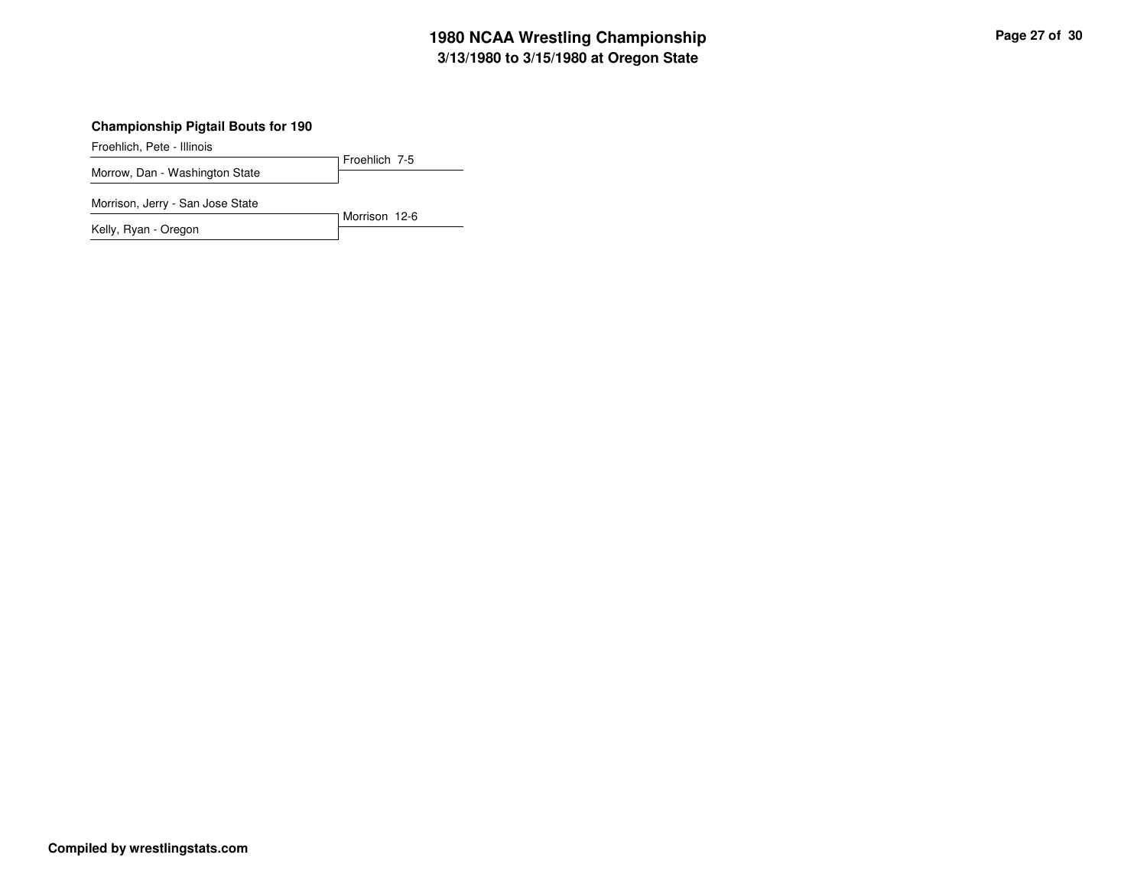# **3/13/1980 to 3/15/1980 at Oregon State 1980 NCAA Wrestling Championship Page <sup>27</sup> of <sup>30</sup>**

#### **Championship Pigtail Bouts for 190**

Froehlich, Pete - Illinois

Froehlich 7-5 Morrow, Dan - Washington State

Morrison, Jerry - San Jose State

Morrison 12-6 Kelly, Ryan - Oregon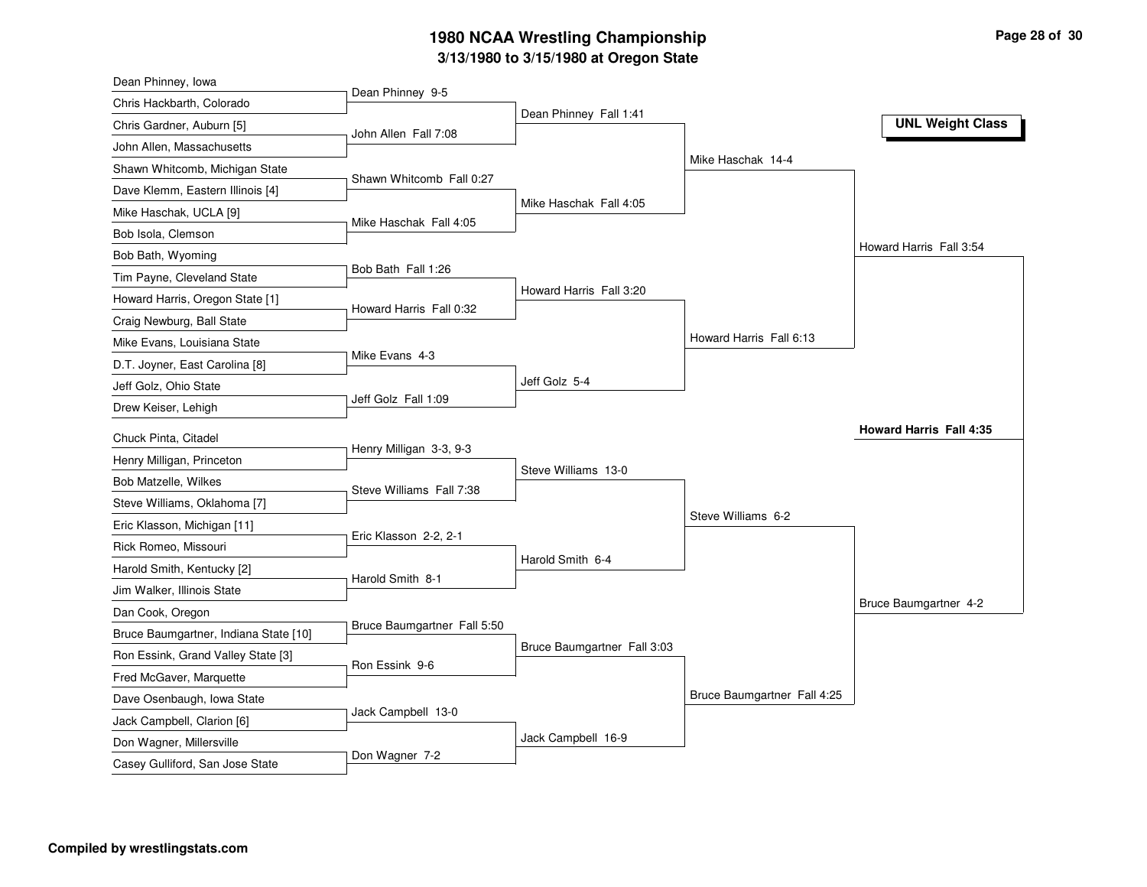# **3/13/1980 to 3/15/1980 at Oregon State 1980 NCAA Wrestling Championship Page <sup>28</sup> of <sup>30</sup>**

| Dean Phinney 9-5<br>Chris Hackbarth, Colorado<br>Dean Phinney Fall 1:41<br><b>UNL Weight Class</b><br>Chris Gardner, Auburn [5]<br>John Allen Fall 7:08<br>John Allen, Massachusetts<br>Mike Haschak 14-4<br>Shawn Whitcomb, Michigan State<br>Shawn Whitcomb Fall 0:27<br>Dave Klemm, Eastern Illinois [4]<br>Mike Haschak Fall 4:05<br>Mike Haschak, UCLA [9]<br>Mike Haschak Fall 4:05<br>Bob Isola, Clemson<br>Howard Harris Fall 3:54<br>Bob Bath, Wyoming<br>Bob Bath Fall 1:26<br>Tim Payne, Cleveland State<br>Howard Harris Fall 3:20<br>Howard Harris, Oregon State [1]<br>Howard Harris Fall 0:32<br>Craig Newburg, Ball State<br>Howard Harris Fall 6:13<br>Mike Evans, Louisiana State<br>Mike Evans 4-3<br>D.T. Joyner, East Carolina [8]<br>Jeff Golz 5-4<br>Jeff Golz, Ohio State<br>Jeff Golz Fall 1:09<br>Drew Keiser, Lehigh<br><b>Howard Harris Fall 4:35</b><br>Chuck Pinta, Citadel<br>Henry Milligan 3-3, 9-3<br>Henry Milligan, Princeton<br>Steve Williams 13-0<br>Bob Matzelle, Wilkes<br>Steve Williams Fall 7:38<br>Steve Williams, Oklahoma [7]<br>Steve Williams 6-2<br>Eric Klasson, Michigan [11]<br>Eric Klasson 2-2, 2-1<br>Rick Romeo, Missouri<br>Harold Smith 6-4<br>Harold Smith, Kentucky [2]<br>Harold Smith 8-1<br>Jim Walker, Illinois State<br>Bruce Baumgartner 4-2<br>Dan Cook, Oregon<br>Bruce Baumgartner Fall 5:50<br>Bruce Baumgartner, Indiana State [10]<br>Bruce Baumgartner Fall 3:03<br>Ron Essink, Grand Valley State [3]<br>Ron Essink 9-6<br>Fred McGaver, Marquette<br>Bruce Baumgartner Fall 4:25<br>Dave Osenbaugh, Iowa State<br>Jack Campbell 13-0<br>Jack Campbell, Clarion [6]<br>Jack Campbell 16-9<br>Don Wagner, Millersville<br>Don Wagner 7-2 | Dean Phinney, Iowa              |  |  |
|--------------------------------------------------------------------------------------------------------------------------------------------------------------------------------------------------------------------------------------------------------------------------------------------------------------------------------------------------------------------------------------------------------------------------------------------------------------------------------------------------------------------------------------------------------------------------------------------------------------------------------------------------------------------------------------------------------------------------------------------------------------------------------------------------------------------------------------------------------------------------------------------------------------------------------------------------------------------------------------------------------------------------------------------------------------------------------------------------------------------------------------------------------------------------------------------------------------------------------------------------------------------------------------------------------------------------------------------------------------------------------------------------------------------------------------------------------------------------------------------------------------------------------------------------------------------------------------------------------------------------------------------------------------------------------------------------------------------|---------------------------------|--|--|
|                                                                                                                                                                                                                                                                                                                                                                                                                                                                                                                                                                                                                                                                                                                                                                                                                                                                                                                                                                                                                                                                                                                                                                                                                                                                                                                                                                                                                                                                                                                                                                                                                                                                                                                    |                                 |  |  |
|                                                                                                                                                                                                                                                                                                                                                                                                                                                                                                                                                                                                                                                                                                                                                                                                                                                                                                                                                                                                                                                                                                                                                                                                                                                                                                                                                                                                                                                                                                                                                                                                                                                                                                                    |                                 |  |  |
|                                                                                                                                                                                                                                                                                                                                                                                                                                                                                                                                                                                                                                                                                                                                                                                                                                                                                                                                                                                                                                                                                                                                                                                                                                                                                                                                                                                                                                                                                                                                                                                                                                                                                                                    |                                 |  |  |
|                                                                                                                                                                                                                                                                                                                                                                                                                                                                                                                                                                                                                                                                                                                                                                                                                                                                                                                                                                                                                                                                                                                                                                                                                                                                                                                                                                                                                                                                                                                                                                                                                                                                                                                    |                                 |  |  |
|                                                                                                                                                                                                                                                                                                                                                                                                                                                                                                                                                                                                                                                                                                                                                                                                                                                                                                                                                                                                                                                                                                                                                                                                                                                                                                                                                                                                                                                                                                                                                                                                                                                                                                                    |                                 |  |  |
|                                                                                                                                                                                                                                                                                                                                                                                                                                                                                                                                                                                                                                                                                                                                                                                                                                                                                                                                                                                                                                                                                                                                                                                                                                                                                                                                                                                                                                                                                                                                                                                                                                                                                                                    |                                 |  |  |
|                                                                                                                                                                                                                                                                                                                                                                                                                                                                                                                                                                                                                                                                                                                                                                                                                                                                                                                                                                                                                                                                                                                                                                                                                                                                                                                                                                                                                                                                                                                                                                                                                                                                                                                    |                                 |  |  |
|                                                                                                                                                                                                                                                                                                                                                                                                                                                                                                                                                                                                                                                                                                                                                                                                                                                                                                                                                                                                                                                                                                                                                                                                                                                                                                                                                                                                                                                                                                                                                                                                                                                                                                                    |                                 |  |  |
|                                                                                                                                                                                                                                                                                                                                                                                                                                                                                                                                                                                                                                                                                                                                                                                                                                                                                                                                                                                                                                                                                                                                                                                                                                                                                                                                                                                                                                                                                                                                                                                                                                                                                                                    |                                 |  |  |
|                                                                                                                                                                                                                                                                                                                                                                                                                                                                                                                                                                                                                                                                                                                                                                                                                                                                                                                                                                                                                                                                                                                                                                                                                                                                                                                                                                                                                                                                                                                                                                                                                                                                                                                    |                                 |  |  |
|                                                                                                                                                                                                                                                                                                                                                                                                                                                                                                                                                                                                                                                                                                                                                                                                                                                                                                                                                                                                                                                                                                                                                                                                                                                                                                                                                                                                                                                                                                                                                                                                                                                                                                                    |                                 |  |  |
|                                                                                                                                                                                                                                                                                                                                                                                                                                                                                                                                                                                                                                                                                                                                                                                                                                                                                                                                                                                                                                                                                                                                                                                                                                                                                                                                                                                                                                                                                                                                                                                                                                                                                                                    |                                 |  |  |
|                                                                                                                                                                                                                                                                                                                                                                                                                                                                                                                                                                                                                                                                                                                                                                                                                                                                                                                                                                                                                                                                                                                                                                                                                                                                                                                                                                                                                                                                                                                                                                                                                                                                                                                    |                                 |  |  |
|                                                                                                                                                                                                                                                                                                                                                                                                                                                                                                                                                                                                                                                                                                                                                                                                                                                                                                                                                                                                                                                                                                                                                                                                                                                                                                                                                                                                                                                                                                                                                                                                                                                                                                                    |                                 |  |  |
|                                                                                                                                                                                                                                                                                                                                                                                                                                                                                                                                                                                                                                                                                                                                                                                                                                                                                                                                                                                                                                                                                                                                                                                                                                                                                                                                                                                                                                                                                                                                                                                                                                                                                                                    |                                 |  |  |
|                                                                                                                                                                                                                                                                                                                                                                                                                                                                                                                                                                                                                                                                                                                                                                                                                                                                                                                                                                                                                                                                                                                                                                                                                                                                                                                                                                                                                                                                                                                                                                                                                                                                                                                    |                                 |  |  |
|                                                                                                                                                                                                                                                                                                                                                                                                                                                                                                                                                                                                                                                                                                                                                                                                                                                                                                                                                                                                                                                                                                                                                                                                                                                                                                                                                                                                                                                                                                                                                                                                                                                                                                                    |                                 |  |  |
|                                                                                                                                                                                                                                                                                                                                                                                                                                                                                                                                                                                                                                                                                                                                                                                                                                                                                                                                                                                                                                                                                                                                                                                                                                                                                                                                                                                                                                                                                                                                                                                                                                                                                                                    |                                 |  |  |
|                                                                                                                                                                                                                                                                                                                                                                                                                                                                                                                                                                                                                                                                                                                                                                                                                                                                                                                                                                                                                                                                                                                                                                                                                                                                                                                                                                                                                                                                                                                                                                                                                                                                                                                    |                                 |  |  |
|                                                                                                                                                                                                                                                                                                                                                                                                                                                                                                                                                                                                                                                                                                                                                                                                                                                                                                                                                                                                                                                                                                                                                                                                                                                                                                                                                                                                                                                                                                                                                                                                                                                                                                                    |                                 |  |  |
|                                                                                                                                                                                                                                                                                                                                                                                                                                                                                                                                                                                                                                                                                                                                                                                                                                                                                                                                                                                                                                                                                                                                                                                                                                                                                                                                                                                                                                                                                                                                                                                                                                                                                                                    |                                 |  |  |
|                                                                                                                                                                                                                                                                                                                                                                                                                                                                                                                                                                                                                                                                                                                                                                                                                                                                                                                                                                                                                                                                                                                                                                                                                                                                                                                                                                                                                                                                                                                                                                                                                                                                                                                    |                                 |  |  |
|                                                                                                                                                                                                                                                                                                                                                                                                                                                                                                                                                                                                                                                                                                                                                                                                                                                                                                                                                                                                                                                                                                                                                                                                                                                                                                                                                                                                                                                                                                                                                                                                                                                                                                                    |                                 |  |  |
|                                                                                                                                                                                                                                                                                                                                                                                                                                                                                                                                                                                                                                                                                                                                                                                                                                                                                                                                                                                                                                                                                                                                                                                                                                                                                                                                                                                                                                                                                                                                                                                                                                                                                                                    |                                 |  |  |
|                                                                                                                                                                                                                                                                                                                                                                                                                                                                                                                                                                                                                                                                                                                                                                                                                                                                                                                                                                                                                                                                                                                                                                                                                                                                                                                                                                                                                                                                                                                                                                                                                                                                                                                    |                                 |  |  |
|                                                                                                                                                                                                                                                                                                                                                                                                                                                                                                                                                                                                                                                                                                                                                                                                                                                                                                                                                                                                                                                                                                                                                                                                                                                                                                                                                                                                                                                                                                                                                                                                                                                                                                                    |                                 |  |  |
|                                                                                                                                                                                                                                                                                                                                                                                                                                                                                                                                                                                                                                                                                                                                                                                                                                                                                                                                                                                                                                                                                                                                                                                                                                                                                                                                                                                                                                                                                                                                                                                                                                                                                                                    |                                 |  |  |
|                                                                                                                                                                                                                                                                                                                                                                                                                                                                                                                                                                                                                                                                                                                                                                                                                                                                                                                                                                                                                                                                                                                                                                                                                                                                                                                                                                                                                                                                                                                                                                                                                                                                                                                    |                                 |  |  |
|                                                                                                                                                                                                                                                                                                                                                                                                                                                                                                                                                                                                                                                                                                                                                                                                                                                                                                                                                                                                                                                                                                                                                                                                                                                                                                                                                                                                                                                                                                                                                                                                                                                                                                                    |                                 |  |  |
|                                                                                                                                                                                                                                                                                                                                                                                                                                                                                                                                                                                                                                                                                                                                                                                                                                                                                                                                                                                                                                                                                                                                                                                                                                                                                                                                                                                                                                                                                                                                                                                                                                                                                                                    |                                 |  |  |
|                                                                                                                                                                                                                                                                                                                                                                                                                                                                                                                                                                                                                                                                                                                                                                                                                                                                                                                                                                                                                                                                                                                                                                                                                                                                                                                                                                                                                                                                                                                                                                                                                                                                                                                    | Casey Gulliford, San Jose State |  |  |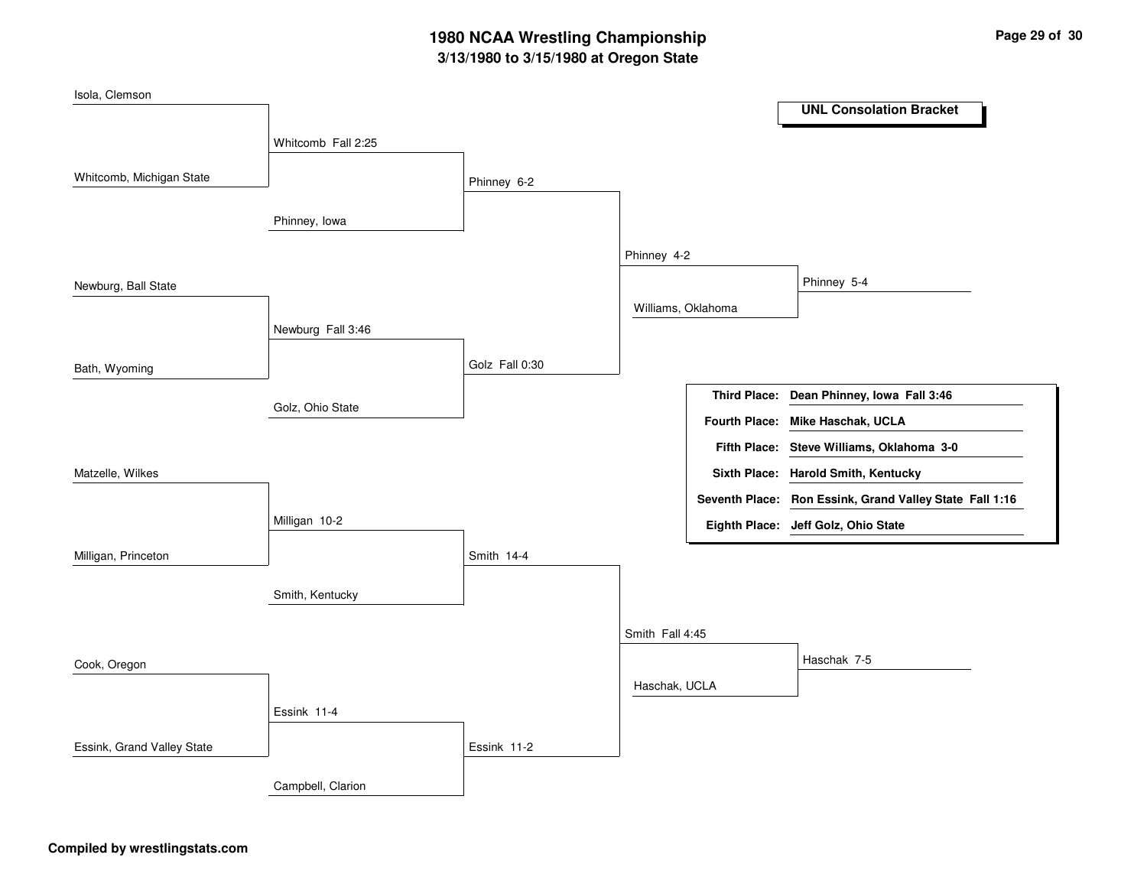# **3/13/1980 to 3/15/1980 at Oregon State 1980 NCAA Wrestling Championship Page <sup>29</sup> of <sup>30</sup>**

| Isola, Clemson             |                    |                |                    |                      |                                                         |
|----------------------------|--------------------|----------------|--------------------|----------------------|---------------------------------------------------------|
|                            |                    |                |                    |                      | <b>UNL Consolation Bracket</b>                          |
|                            | Whitcomb Fall 2:25 |                |                    |                      |                                                         |
| Whitcomb, Michigan State   |                    | Phinney 6-2    |                    |                      |                                                         |
|                            |                    |                |                    |                      |                                                         |
|                            | Phinney, Iowa      |                |                    |                      |                                                         |
|                            |                    |                | Phinney 4-2        |                      |                                                         |
|                            |                    |                |                    |                      | Phinney 5-4                                             |
| Newburg, Ball State        |                    |                |                    |                      |                                                         |
|                            | Newburg Fall 3:46  |                | Williams, Oklahoma |                      |                                                         |
|                            |                    |                |                    |                      |                                                         |
| Bath, Wyoming              |                    | Golz Fall 0:30 |                    |                      |                                                         |
|                            | Golz, Ohio State   |                |                    | <b>Third Place:</b>  | Dean Phinney, Iowa Fall 3:46                            |
|                            |                    |                |                    | <b>Fourth Place:</b> | Mike Haschak, UCLA                                      |
|                            |                    |                |                    | <b>Fifth Place:</b>  | Steve Williams, Oklahoma 3-0                            |
| Matzelle, Wilkes           |                    |                |                    |                      | Sixth Place: Harold Smith, Kentucky                     |
|                            |                    |                |                    |                      | Seventh Place: Ron Essink, Grand Valley State Fall 1:16 |
|                            | Milligan 10-2      |                |                    |                      | Eighth Place: Jeff Golz, Ohio State                     |
| Milligan, Princeton        |                    | Smith 14-4     |                    |                      |                                                         |
|                            |                    |                |                    |                      |                                                         |
|                            | Smith, Kentucky    |                |                    |                      |                                                         |
|                            |                    |                | Smith Fall 4:45    |                      |                                                         |
| Cook, Oregon               |                    |                |                    |                      | Haschak 7-5                                             |
|                            |                    |                | Haschak, UCLA      |                      |                                                         |
|                            | Essink 11-4        |                |                    |                      |                                                         |
| Essink, Grand Valley State |                    | Essink 11-2    |                    |                      |                                                         |
|                            |                    |                |                    |                      |                                                         |
|                            | Campbell, Clarion  |                |                    |                      |                                                         |